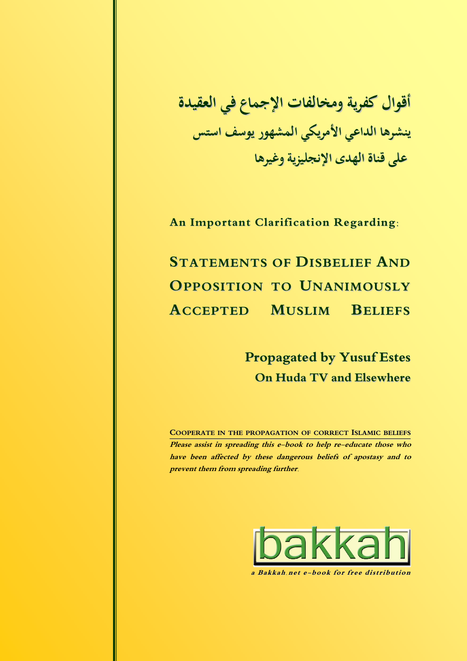**أقوال كفرية ومخالفات الإجماع في العقيدة ينشرها الداعي الأمريكي المشهور يوسف استس على قناة الهدى الإنجليزية وغيرها**

**An Important Clarification Regarding:**

**STATEMENTS OF DISBELIEF AND OPPOSITION TO UNANIMOUSLY ACCEPTED MUSLIM BELIEFS**

> **Propagated by Yusuf Estes On Huda TV and Elsewhere**

**COOPERATE IN THE PROPAGATION OF CORRECT ISLAMIC BELIEFS Please assist in spreading this e-book to help re-educate those who have been affected by these dangerous beliefs of apostasy and to prevent them from spreading further.**



**a Bakkah.ne t e-book for free distribution**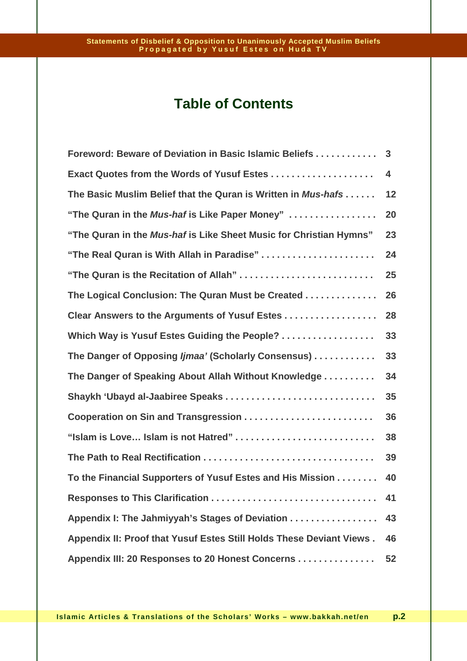# **Table of Contents**

| Foreword: Beware of Deviation in Basic Islamic Beliefs               | 3  |
|----------------------------------------------------------------------|----|
| Exact Quotes from the Words of Yusuf Estes                           | 4  |
| The Basic Muslim Belief that the Quran is Written in Mus-hafs        | 12 |
| "The Quran in the Mus-haf is Like Paper Money"                       | 20 |
| "The Quran in the Mus-haf is Like Sheet Music for Christian Hymns"   | 23 |
| "The Real Quran is With Allah in Paradise"                           | 24 |
| "The Quran is the Recitation of Allah"                               | 25 |
| The Logical Conclusion: The Quran Must be Created                    | 26 |
| Clear Answers to the Arguments of Yusuf Estes                        | 28 |
| Which Way is Yusuf Estes Guiding the People?                         | 33 |
| The Danger of Opposing Ijmaa' (Scholarly Consensus)                  | 33 |
| The Danger of Speaking About Allah Without Knowledge                 | 34 |
|                                                                      | 35 |
| Cooperation on Sin and Transgression                                 | 36 |
| "Islam is Love Islam is not Hatred"                                  | 38 |
|                                                                      | 39 |
| To the Financial Supporters of Yusuf Estes and His Mission           | 40 |
|                                                                      | 41 |
| Appendix I: The Jahmiyyah's Stages of Deviation                      | 43 |
| Appendix II: Proof that Yusuf Estes Still Holds These Deviant Views. | 46 |
| Appendix III: 20 Responses to 20 Honest Concerns                     | 52 |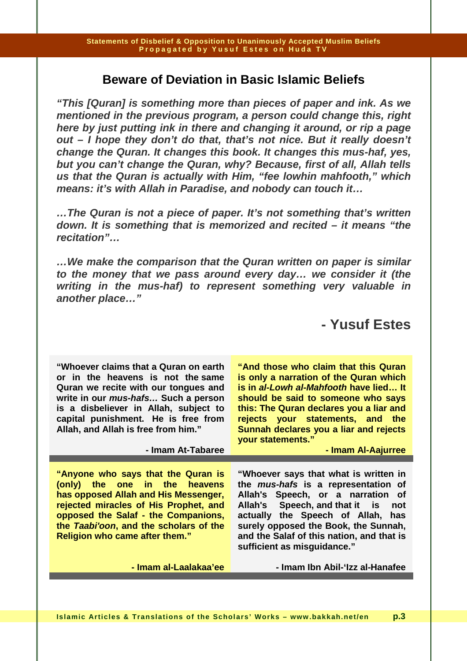## **Beware of Deviation in Basic Islamic Beliefs**

**"This [Quran] is something more than pieces of paper and ink. As we mentioned in the previous program, a person could change this, right here by just putting ink in there and changing it around, or rip a page out – I hope they don't do that, that's not nice. But it really doesn't change the Quran. It changes this book. It changes this mus-haf, yes, but you can't change the Quran, why? Because, first of all, Allah tells us that the Quran is actually with Him, "fee lowhin mahfooth," which means: it's with Allah in Paradise, and nobody can touch it…** 

**…The Quran is not a piece of paper. It's not something that's written down. It is something that is memorized and recited – it means "the recitation"…** 

**…We make the comparison that the Quran written on paper is similar to the money that we pass around every day… we consider it (the writing in the mus-haf) to represent something very valuable in another place…"** 

# **- Yusuf Estes**

**"Whoever claims that a Quran on earth or in the heavens is not the same Quran we recite with our tongues and write in our mus-hafs… Such a person is a disbeliever in Allah, subject to capital punishment. He is free from Allah, and Allah is free from him."** 

**- Imam At-Tabaree** 

**"Anyone who says that the Quran is (only) the one in the heavens has opposed Allah and His Messenger, rejected miracles of His Prophet, and opposed the Salaf - the Companions, the Taabi'oon, and the scholars of the Religion who came after them."** 

**"And those who claim that this Quran is only a narration of the Quran which is in al-Lowh al-Mahfooth have lied… It should be said to someone who says this: The Quran declares you a liar and rejects your statements, and the Sunnah declares you a liar and rejects your statements."** 

**- Imam Al-Aajurree** 

**"Whoever says that what is written in the mus-hafs is a representation of Allah's Speech, or a narration of Allah's Speech, and that it is not actually the Speech of Allah, has surely opposed the Book, the Sunnah, and the Salaf of this nation, and that is sufficient as misguidance."** 

**- Imam al-Laalakaa'ee** 

**- Imam Ibn Abil-'Izz al-Hanafee**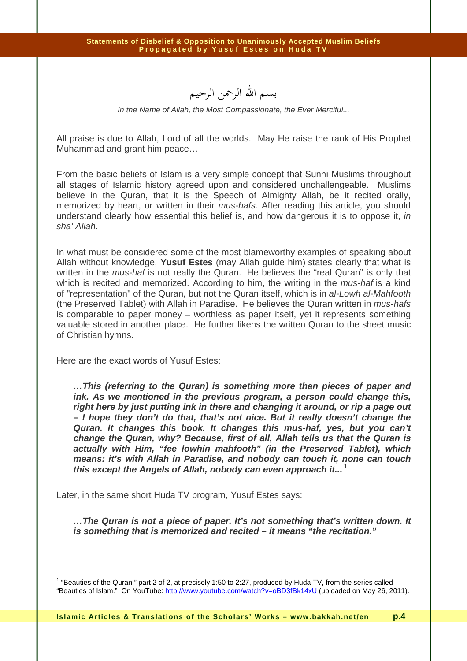بسم االله الرحمن الرحيم

In the Name of Allah, the Most Compassionate, the Ever Merciful...

All praise is due to Allah, Lord of all the worlds. May He raise the rank of His Prophet Muhammad and grant him peace…

From the basic beliefs of Islam is a very simple concept that Sunni Muslims throughout all stages of Islamic history agreed upon and considered unchallengeable. Muslims believe in the Quran, that it is the Speech of Almighty Allah, be it recited orally, memorized by heart, or written in their mus-hafs. After reading this article, you should understand clearly how essential this belief is, and how dangerous it is to oppose it, in sha' Allah.

In what must be considered some of the most blameworthy examples of speaking about Allah without knowledge, **Yusuf Estes** (may Allah guide him) states clearly that what is written in the *mus-haf* is not really the Quran. He believes the "real Quran" is only that which is recited and memorized. According to him, the writing in the *mus-haf* is a kind of "representation" of the Quran, but not the Quran itself, which is in al-Lowh al-Mahfooth (the Preserved Tablet) with Allah in Paradise. He believes the Quran written in mus-hafs is comparable to paper money – worthless as paper itself, yet it represents something valuable stored in another place. He further likens the written Quran to the sheet music of Christian hymns.

Here are the exact words of Yusuf Estes:

 $\overline{a}$ 

**…This (referring to the Quran) is something more than pieces of paper and ink. As we mentioned in the previous program, a person could change this, right here by just putting ink in there and changing it around, or rip a page out – I hope they don't do that, that's not nice. But it really doesn't change the Quran. It changes this book. It changes this mus-haf, yes, but you can't change the Quran, why? Because, first of all, Allah tells us that the Quran is actually with Him, "fee lowhin mahfooth" (in the Preserved Tablet), which means: it's with Allah in Paradise, and nobody can touch it, none can touch this except the Angels of Allah, nobody can even approach it...** <sup>1</sup>

Later, in the same short Huda TV program, Yusuf Estes says:

**…The Quran is not a piece of paper. It's not something that's written down. It is something that is memorized and recited – it means "the recitation."** 

<sup>&</sup>lt;sup>1</sup> "Beauties of the Quran," part 2 of 2, at precisely 1:50 to 2:27, produced by Huda TV, from the series called "Beauties of Islam." On YouTube: http://www.youtube.com/watch?v=oBD3fBk14xU (uploaded on May 26, 2011).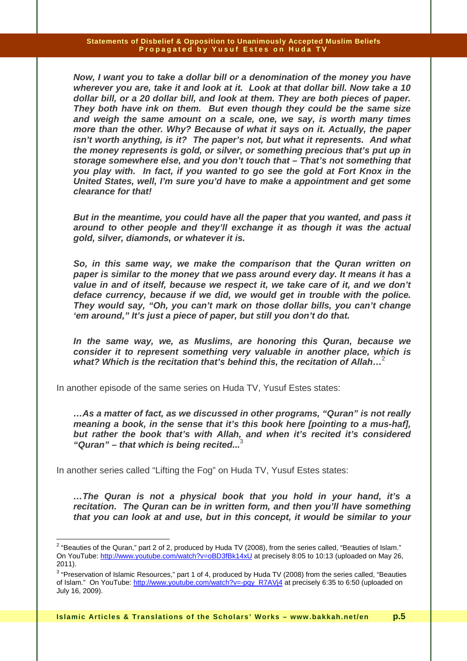**Now, I want you to take a dollar bill or a denomination of the money you have wherever you are, take it and look at it. Look at that dollar bill. Now take a 10 dollar bill, or a 20 dollar bill, and look at them. They are both pieces of paper. They both have ink on them. But even though they could be the same size and weigh the same amount on a scale, one, we say, is worth many times more than the other. Why? Because of what it says on it. Actually, the paper isn't worth anything, is it? The paper's not, but what it represents. And what the money represents is gold, or silver, or something precious that's put up in storage somewhere else, and you don't touch that – That's not something that you play with. In fact, if you wanted to go see the gold at Fort Knox in the United States, well, I'm sure you'd have to make a appointment and get some clearance for that!** 

**But in the meantime, you could have all the paper that you wanted, and pass it around to other people and they'll exchange it as though it was the actual gold, silver, diamonds, or whatever it is.** 

**So, in this same way, we make the comparison that the Quran written on paper is similar to the money that we pass around every day. It means it has a value in and of itself, because we respect it, we take care of it, and we don't deface currency, because if we did, we would get in trouble with the police. They would say, "Oh, you can't mark on those dollar bills, you can't change 'em around," It's just a piece of paper, but still you don't do that.** 

**In the same way, we, as Muslims, are honoring this Quran, because we consider it to represent something very valuable in another place, which is what? Which is the recitation that's behind this, the recitation of Allah…**<sup>2</sup>

In another episode of the same series on Huda TV, Yusuf Estes states:

**…As a matter of fact, as we discussed in other programs, "Quran" is not really meaning a book, in the sense that it's this book here [pointing to a mus-haf], but rather the book that's with Allah, and when it's recited it's considered "Quran" – that which is being recited...**<sup>3</sup>

In another series called "Lifting the Fog" on Huda TV, Yusuf Estes states:

 $\overline{a}$ 

**…The Quran is not a physical book that you hold in your hand, it's a recitation. The Quran can be in written form, and then you'll have something that you can look at and use, but in this concept, it would be similar to your** 

<sup>&</sup>lt;sup>2</sup> "Beauties of the Quran," part 2 of 2, produced by Huda TV (2008), from the series called, "Beauties of Islam." On YouTube: http://www.youtube.com/watch?v=oBD3fBk14xU at precisely 8:05 to 10:13 (uploaded on May 26, 2011).

 $^3$  "Preservation of Islamic Resources," part 1 of 4, produced by Huda TV (2008) from the series called, "Beauties of Islam." On YouTube: http://www.youtube.com/watch?v=-pqy\_R7AVj4 at precisely 6:35 to 6:50 (uploaded on July 16, 2009).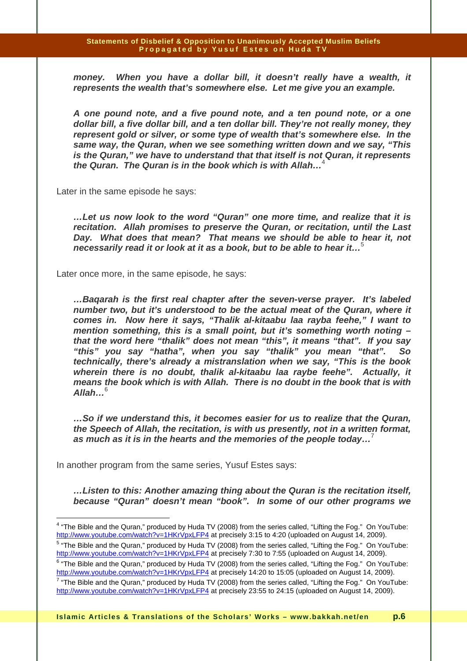**money. When you have a dollar bill, it doesn't really have a wealth, it represents the wealth that's somewhere else. Let me give you an example.** 

**A one pound note, and a five pound note, and a ten pound note, or a one dollar bill, a five dollar bill, and a ten dollar bill. They're not really money, they represent gold or silver, or some type of wealth that's somewhere else. In the same way, the Quran, when we see something written down and we say, "This is the Quran," we have to understand that that itself is not Quran, it represents the Quran. The Quran is in the book which is with Allah…**<sup>4</sup>

Later in the same episode he says:

**…Let us now look to the word "Quran" one more time, and realize that it is recitation. Allah promises to preserve the Quran, or recitation, until the Last Day. What does that mean? That means we should be able to hear it, not necessarily read it or look at it as a book, but to be able to hear it…**<sup>5</sup>

Later once more, in the same episode, he says:

**…Baqarah is the first real chapter after the seven-verse prayer. It's labeled number two, but it's understood to be the actual meat of the Quran, where it comes in. Now here it says, "Thalik al-kitaabu laa rayba feehe," I want to mention something, this is a small point, but it's something worth noting – that the word here "thalik" does not mean "this", it means "that". If you say "this" you say "hatha", when you say "thalik" you mean "that". So technically, there's already a mistranslation when we say, "This is the book wherein there is no doubt, thalik al-kitaabu laa raybe feehe". Actually, it means the book which is with Allah. There is no doubt in the book that is with Allah…**<sup>6</sup>

**…So if we understand this, it becomes easier for us to realize that the Quran, the Speech of Allah, the recitation, is with us presently, not in a written format, as much as it is in the hearts and the memories of the people today…**<sup>7</sup>

In another program from the same series, Yusuf Estes says:

**…Listen to this: Another amazing thing about the Quran is the recitation itself, because "Quran" doesn't mean "book". In some of our other programs we** 

 4 "The Bible and the Quran," produced by Huda TV (2008) from the series called, "Lifting the Fog." On YouTube: http://www.youtube.com/watch?v=1HKrVpxLFP4 at precisely 3:15 to 4:20 (uploaded on August 14, 2009).

<sup>&</sup>lt;sup>5</sup> "The Bible and the Quran," produced by Huda TV (2008) from the series called, "Lifting the Fog." On YouTube: http://www.youtube.com/watch?v=1HKrVpxLFP4 at precisely 7:30 to 7:55 (uploaded on August 14, 2009).

 $6$  "The Bible and the Quran," produced by Huda TV (2008) from the series called, "Lifting the Fog." On YouTube: http://www.youtube.com/watch?v=1HKrVpxLFP4 at precisely 14:20 to 15:05 (uploaded on August 14, 2009).

 $^7$  "The Bible and the Quran," produced by Huda TV (2008) from the series called, "Lifting the Fog." On YouTube: http://www.youtube.com/watch?v=1HKrVpxLFP4 at precisely 23:55 to 24:15 (uploaded on August 14, 2009).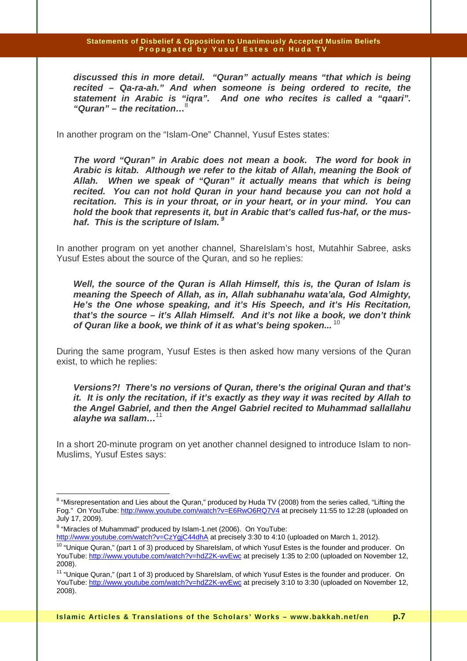**discussed this in more detail. "Quran" actually means "that which is being recited – Qa-ra-ah." And when someone is being ordered to recite, the statement in Arabic is "iqra". And one who recites is called a "qaari". "Quran" – the recitation…**<sup>8</sup>

In another program on the "Islam-One" Channel, Yusuf Estes states:

**The word "Quran" in Arabic does not mean a book. The word for book in Arabic is kitab. Although we refer to the kitab of Allah, meaning the Book of Allah. When we speak of "Quran" it actually means that which is being recited. You can not hold Quran in your hand because you can not hold a recitation. This is in your throat, or in your heart, or in your mind. You can hold the book that represents it, but in Arabic that's called fus-haf, or the mushaf. This is the scripture of Islam.<sup>9</sup>** 

In another program on yet another channel, ShareIslam's host, Mutahhir Sabree, asks Yusuf Estes about the source of the Quran, and so he replies:

**Well, the source of the Quran is Allah Himself, this is, the Quran of Islam is meaning the Speech of Allah, as in, Allah subhanahu wata'ala, God Almighty, He's the One whose speaking, and it's His Speech, and it's His Recitation, that's the source – it's Allah Himself. And it's not like a book, we don't think of Quran like a book, we think of it as what's being spoken...**<sup>10</sup>

During the same program, Yusuf Estes is then asked how many versions of the Quran exist, to which he replies:

**Versions?! There's no versions of Quran, there's the original Quran and that's it. It is only the recitation, if it's exactly as they way it was recited by Allah to the Angel Gabriel, and then the Angel Gabriel recited to Muhammad sallallahu alayhe wa sallam…**<sup>11</sup>

In a short 20-minute program on yet another channel designed to introduce Islam to non-Muslims, Yusuf Estes says:

http://www.youtube.com/watch?v=CzYgiC44dhA at precisely 3:30 to 4:10 (uploaded on March 1, 2012).

entive mode the mand the mattar metal mattars.<br><sup>8</sup> "Misrepresentation and Lies about the Quran," produced by Huda TV (2008) from the series called, "Lifting the Fog." On YouTube: http://www.youtube.com/watch?v=E6RwO6RQ7V4 at precisely 11:55 to 12:28 (uploaded on July 17, 2009).

<sup>&</sup>lt;sup>9</sup> "Miracles of Muhammad" produced by Islam-1.net (2006). On YouTube:

<sup>&</sup>lt;sup>10</sup> "Unique Quran," (part 1 of 3) produced by ShareIslam, of which Yusuf Estes is the founder and producer. On YouTube: http://www.youtube.com/watch?v=hdZ2K-wvEwc at precisely 1:35 to 2:00 (uploaded on November 12, 2008).

<sup>&</sup>lt;sup>11</sup> "Unique Quran," (part 1 of 3) produced by ShareIslam, of which Yusuf Estes is the founder and producer. On YouTube: http://www.youtube.com/watch?v=hdZ2K-wvEwc at precisely 3:10 to 3:30 (uploaded on November 12, 2008).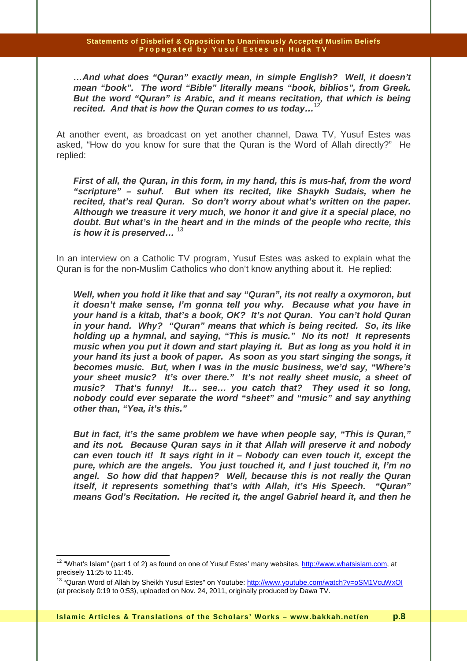**…And what does "Quran" exactly mean, in simple English? Well, it doesn't mean "book". The word "Bible" literally means "book, biblios", from Greek. But the word "Quran" is Arabic, and it means recitation, that which is being recited. And that is how the Quran comes to us today…**<sup>12</sup>

At another event, as broadcast on yet another channel, Dawa TV, Yusuf Estes was asked, "How do you know for sure that the Quran is the Word of Allah directly?" He replied:

**First of all, the Quran, in this form, in my hand, this is mus-haf, from the word "scripture" – suhuf. But when its recited, like Shaykh Sudais, when he recited, that's real Quran. So don't worry about what's written on the paper. Although we treasure it very much, we honor it and give it a special place, no doubt. But what's in the heart and in the minds of the people who recite, this is how it is preserved…** <sup>13</sup>

In an interview on a Catholic TV program, Yusuf Estes was asked to explain what the Quran is for the non-Muslim Catholics who don't know anything about it. He replied:

**Well, when you hold it like that and say "Quran", its not really a oxymoron, but it doesn't make sense, I'm gonna tell you why. Because what you have in your hand is a kitab, that's a book, OK? It's not Quran. You can't hold Quran in your hand. Why? "Quran" means that which is being recited. So, its like holding up a hymnal, and saying, "This is music." No its not! It represents music when you put it down and start playing it. But as long as you hold it in your hand its just a book of paper. As soon as you start singing the songs, it becomes music. But, when I was in the music business, we'd say, "Where's your sheet music? It's over there." It's not really sheet music, a sheet of music? That's funny! It… see… you catch that? They used it so long, nobody could ever separate the word "sheet" and "music" and say anything other than, "Yea, it's this."** 

**But in fact, it's the same problem we have when people say, "This is Quran," and its not. Because Quran says in it that Allah will preserve it and nobody can even touch it! It says right in it – Nobody can even touch it, except the pure, which are the angels. You just touched it, and I just touched it, I'm no angel. So how did that happen? Well, because this is not really the Quran itself, it represents something that's with Allah, it's His Speech. "Quran" means God's Recitation. He recited it, the angel Gabriel heard it, and then he** 

<sup>&</sup>lt;sup>12</sup> "What's Islam" (part 1 of 2) as found on one of Yusuf Estes' many websites, http://www.whatsislam.com, at precisely 11:25 to 11:45.

<sup>&</sup>lt;sup>13</sup> "Quran Word of Allah by Sheikh Yusuf Estes" on Youtube: http://www.youtube.com/watch?v=oSM1VcuWxOI (at precisely 0:19 to 0:53), uploaded on Nov. 24, 2011, originally produced by Dawa TV.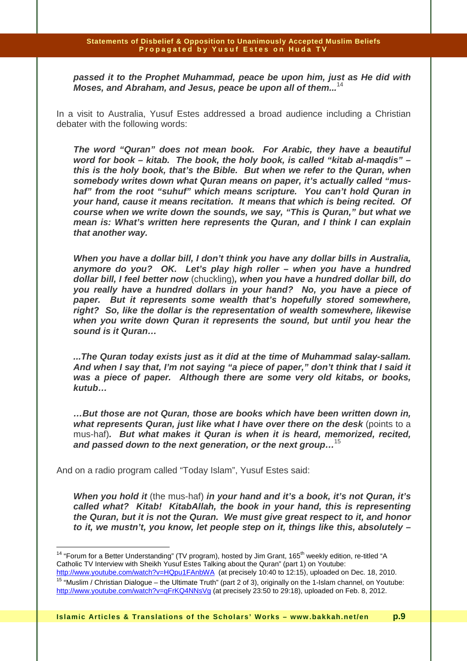**passed it to the Prophet Muhammad, peace be upon him, just as He did with Moses, and Abraham, and Jesus, peace be upon all of them...**<sup>14</sup>

In a visit to Australia, Yusuf Estes addressed a broad audience including a Christian debater with the following words:

**The word "Quran" does not mean book. For Arabic, they have a beautiful word for book – kitab. The book, the holy book, is called "kitab al-maqdis" – this is the holy book, that's the Bible. But when we refer to the Quran, when somebody writes down what Quran means on paper, it's actually called "mushaf" from the root "suhuf" which means scripture. You can't hold Quran in your hand, cause it means recitation. It means that which is being recited. Of course when we write down the sounds, we say, "This is Quran," but what we mean is: What's written here represents the Quran, and I think I can explain that another way.** 

**When you have a dollar bill, I don't think you have any dollar bills in Australia, anymore do you? OK. Let's play high roller – when you have a hundred dollar bill, I feel better now** (chuckling)**, when you have a hundred dollar bill, do you really have a hundred dollars in your hand? No, you have a piece of paper. But it represents some wealth that's hopefully stored somewhere, right? So, like the dollar is the representation of wealth somewhere, likewise when you write down Quran it represents the sound, but until you hear the sound is it Quran…** 

**...The Quran today exists just as it did at the time of Muhammad salay-sallam. And when I say that, I'm not saying "a piece of paper," don't think that I said it was a piece of paper. Although there are some very old kitabs, or books, kutub…** 

**…But those are not Quran, those are books which have been written down in, what represents Quran, just like what I have over there on the desk** (points to a mus-haf)**. But what makes it Quran is when it is heard, memorized, recited, and passed down to the next generation, or the next group…**<sup>15</sup>

And on a radio program called "Today Islam", Yusuf Estes said:

 $\overline{1}$ 

**When you hold it** (the mus-haf) **in your hand and it's a book, it's not Quran, it's called what? Kitab! KitabAllah, the book in your hand, this is representing the Quran, but it is not the Quran. We must give great respect to it, and honor to it, we mustn't, you know, let people step on it, things like this, absolutely –** 

<sup>&</sup>lt;sup>14</sup> "Forum for a Better Understanding" (TV program), hosted by Jim Grant, 165<sup>th</sup> weekly edition, re-titled "A Catholic TV Interview with Sheikh Yusuf Estes Talking about the Quran" (part 1) on Youtube: http://www.youtube.com/watch?v=HQpu1FAnbWA (at precisely 10:40 to 12:15), uploaded on Dec. 18, 2010.

<sup>&</sup>lt;sup>15</sup> "Muslim / Christian Dialogue – the Ultimate Truth" (part 2 of 3), originally on the 1-Islam channel, on Youtube: http://www.youtube.com/watch?v=qFrKQ4NNsVg (at precisely 23:50 to 29:18), uploaded on Feb. 8, 2012.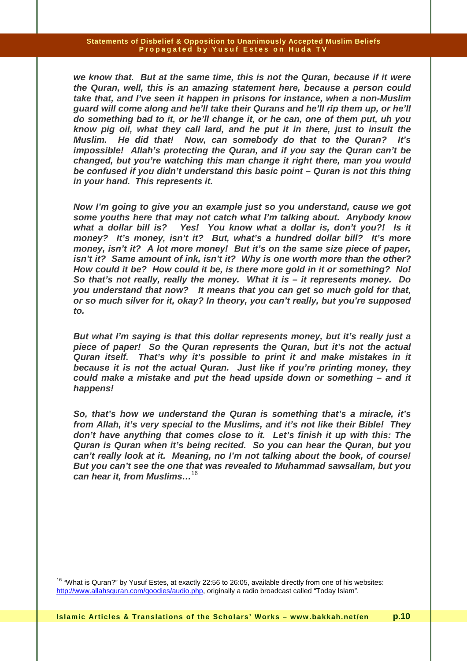**we know that. But at the same time, this is not the Quran, because if it were the Quran, well, this is an amazing statement here, because a person could take that, and I've seen it happen in prisons for instance, when a non-Muslim guard will come along and he'll take their Qurans and he'll rip them up, or he'll do something bad to it, or he'll change it, or he can, one of them put, uh you know pig oil, what they call lard, and he put it in there, just to insult the Muslim. He did that! Now, can somebody do that to the Quran? It's impossible! Allah's protecting the Quran, and if you say the Quran can't be changed, but you're watching this man change it right there, man you would be confused if you didn't understand this basic point – Quran is not this thing in your hand. This represents it.** 

**Now I'm going to give you an example just so you understand, cause we got some youths here that may not catch what I'm talking about. Anybody know what a dollar bill is? Yes! You know what a dollar is, don't you?! Is it money? It's money, isn't it? But, what's a hundred dollar bill? It's more money, isn't it? A lot more money! But it's on the same size piece of paper, isn't it? Same amount of ink, isn't it? Why is one worth more than the other? How could it be? How could it be, is there more gold in it or something? No! So that's not really, really the money. What it is – it represents money. Do you understand that now? It means that you can get so much gold for that, or so much silver for it, okay? In theory, you can't really, but you're supposed to.** 

**But what I'm saying is that this dollar represents money, but it's really just a piece of paper! So the Quran represents the Quran, but it's not the actual Quran itself. That's why it's possible to print it and make mistakes in it because it is not the actual Quran. Just like if you're printing money, they could make a mistake and put the head upside down or something – and it happens!** 

**So, that's how we understand the Quran is something that's a miracle, it's from Allah, it's very special to the Muslims, and it's not like their Bible! They don't have anything that comes close to it. Let's finish it up with this: The Quran is Quran when it's being recited. So you can hear the Quran, but you can't really look at it. Meaning, no I'm not talking about the book, of course! But you can't see the one that was revealed to Muhammad sawsallam, but you can hear it, from Muslims…**<sup>16</sup>

<sup>&</sup>lt;sup>16</sup> "What is Quran?" by Yusuf Estes, at exactly 22:56 to 26:05, available directly from one of his websites: http://www.allahsquran.com/goodies/audio.php, originally a radio broadcast called "Today Islam".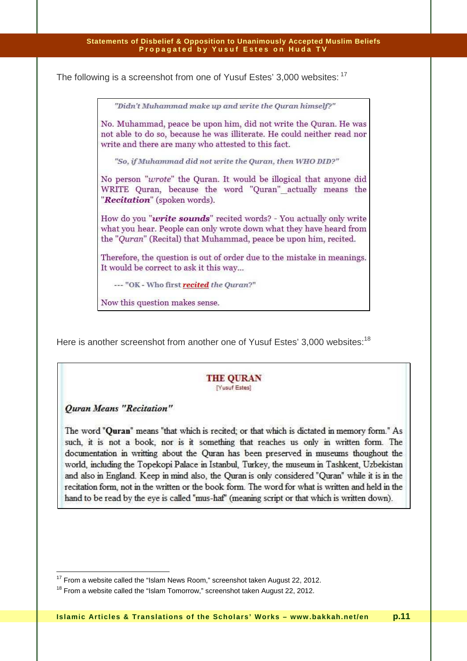The following is a screenshot from one of Yusuf Estes' 3,000 websites: <sup>17</sup>

"Didn't Muhammad make up and write the Ouran himself?"

No. Muhammad, peace be upon him, did not write the Quran. He was not able to do so, because he was illiterate. He could neither read nor write and there are many who attested to this fact.

"So, if Muhammad did not write the Quran, then WHO DID?"

No person "wrote" the Quran. It would be illogical that anyone did WRITE Quran, because the word "Quran" actually means the "Recitation" (spoken words).

How do you "*write sounds*" recited words? - You actually only write what you hear. People can only wrote down what they have heard from the "Quran" (Recital) that Muhammad, peace be upon him, recited.

Therefore, the question is out of order due to the mistake in meanings. It would be correct to ask it this way...

--- "OK - Who first recited the Quran?"

Now this question makes sense.

Here is another screenshot from another one of Yusuf Estes' 3,000 websites:<sup>18</sup>

#### **THE QURAN** [Yusuf Estes]

### **Ouran Means "Recitation"**

 $\overline{a}$ 

The word "Quran" means "that which is recited; or that which is dictated in memory form." As such, it is not a book, nor is it something that reaches us only in written form. The documentation in writting about the Quran has been preserved in museums thoughout the world, including the Topekopi Palace in Istanbul, Turkey, the museum in Tashkent, Uzbekistan and also in England. Keep in mind also, the Quran is only considered "Quran" while it is in the recitation form, not in the written or the book form. The word for what is written and held in the hand to be read by the eye is called "mus-haf" (meaning script or that which is written down).

 $17$  From a website called the "Islam News Room," screenshot taken August 22, 2012.

<sup>&</sup>lt;sup>18</sup> From a website called the "Islam Tomorrow," screenshot taken August 22, 2012.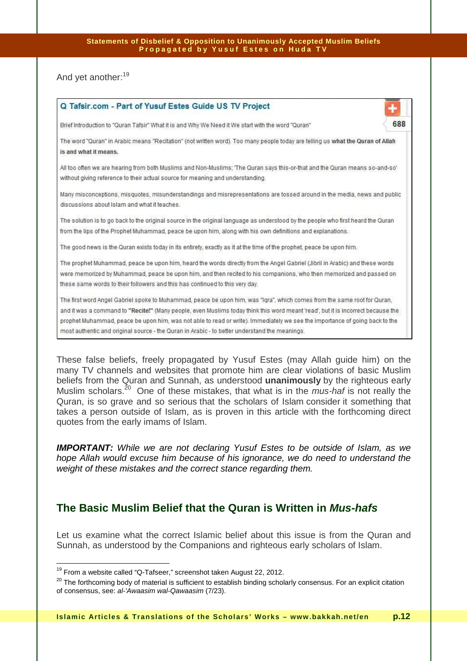And yet another:<sup>19</sup>

| Q Tafsir.com - Part of Yusuf Estes Guide US TV Project                                                                           |     |
|----------------------------------------------------------------------------------------------------------------------------------|-----|
| Brief Introduction to "Quran Tafsir" What it is and Why We Need it We start with the word "Quran"                                | 688 |
| The word "Quran" in Arabic means "Recitation" (not written word). Too many people today are telling us what the Quran of Allah   |     |
| is and what it means.                                                                                                            |     |
| All too often we are hearing from both Muslims and Non-Muslims; 'The Quran says this-or-that and the Quran means so-and-so'      |     |
| without giving reference to their actual source for meaning and understanding.                                                   |     |
| Many misconceptions, misquotes, misunderstandings and misrepresentations are tossed around in the media, news and public         |     |
| discussions about Islam and what it teaches.                                                                                     |     |
| The solution is to go back to the original source in the original language as understood by the people who first heard the Quran |     |
| from the lips of the Prophet Muhammad, peace be upon him, along with his own definitions and explanations.                       |     |
| The good news is the Quran exists today in its entirety, exactly as it at the time of the prophet, peace be upon him.            |     |
| The prophet Muhammad, peace be upon him, heard the words directly from the Angel Gabriel (Jibril in Arabic) and these words      |     |
| were memorized by Muhammad, peace be upon him, and then recited to his companions, who then memorized and passed on              |     |
| these same words to their followers and this has continued to this very day.                                                     |     |
| The first word Angel Gabriel spoke to Muhammad, peace be upon him, was "Iqra", which comes from the same root for Quran,         |     |
| and it was a command to "Recite!" (Many people, even Muslims today think this word meant 'read', but it is incorrect because the |     |

prophet Muhammad, peace be upon him, was not able to read or write). Immediately we see the importance of going back to the most authentic and original source - the Quran in Arabic - to better understand the meanings.

These false beliefs, freely propagated by Yusuf Estes (may Allah guide him) on the many TV channels and websites that promote him are clear violations of basic Muslim beliefs from the Quran and Sunnah, as understood **unanimously** by the righteous early Muslim scholars.<sup>20</sup> One of these mistakes, that what is in the *mus-haf* is not really the Quran, is so grave and so serious that the scholars of Islam consider it something that takes a person outside of Islam, as is proven in this article with the forthcoming direct quotes from the early imams of Islam.

**IMPORTANT:** While we are not declaring Yusuf Estes to be outside of Islam, as we hope Allah would excuse him because of his ignorance, we do need to understand the weight of these mistakes and the correct stance regarding them.

## **The Basic Muslim Belief that the Quran is Written in Mus-hafs**

Let us examine what the correct Islamic belief about this issue is from the Quran and Sunnah, as understood by the Companions and righteous early scholars of Islam.

 $\overline{1}$  $19$  From a website called "Q-Tafseer," screenshot taken August 22, 2012.

 $20$  The forthcoming body of material is sufficient to establish binding scholarly consensus. For an explicit citation of consensus, see: al-'Awaasim wal-Qawaasim (7/23).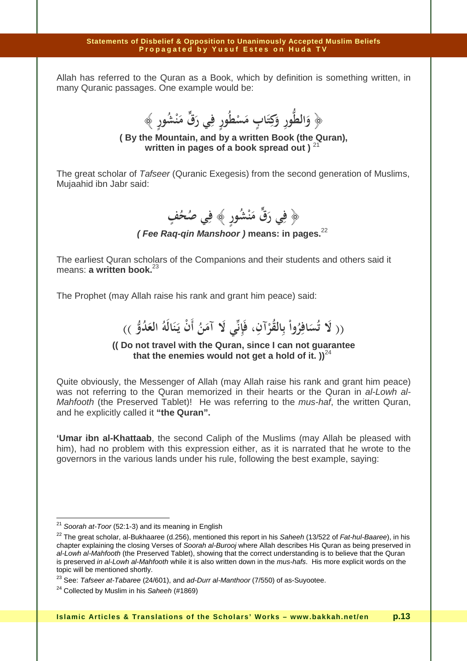Allah has referred to the Quran as a Book, which by definition is something written, in many Quranic passages. One example would be:

﴿ وَالطُّورِ وَكِتَابٍ مَسْطُورٍ فِي رَقٍّ مَنْشُورٍ ﴾<br>-**َ ِ َ َ ِ َ**

**( By the Mountain, and by a written Book (the Quran), written in pages of a book spread out )** <sup>21</sup>

The great scholar of Tafseer (Quranic Exegesis) from the second generation of Muslims, Mujaahid ibn Jabr said:

> **ف ﴿ َي ر ق م ْ ُش ن ِي ص ٍور ﴾ ف ُ ُف ح ِ َ ٍ**

**( Fee Raq-qin Manshoor ) means: in pages.**<sup>22</sup>

The earliest Quran scholars of the Companions and their students and others said it means: **a written book.**<sup>2</sup>

The Prophet (may Allah raise his rank and grant him peace) said:

(( لَا تُسَافِرُواْ بِالقُرْآنِ، فَإِنِّي لَا آمَنُ أَنْ يَنَالَهُ العَدُوُّ ))<br>. **َ ْ ن َ بابہ َ َ**

## **(( Do not travel with the Quran, since I can not guarantee**  that the enemies would not get a hold of it.  $)$ <sup>24</sup>

Quite obviously, the Messenger of Allah (may Allah raise his rank and grant him peace) was not referring to the Quran memorized in their hearts or the Quran in al-Lowh al-Mahfooth (the Preserved Tablet)! He was referring to the *mus-haf*, the written Quran, and he explicitly called it **"the Quran".**

**'Umar ibn al-Khattaab**, the second Caliph of the Muslims (may Allah be pleased with him), had no problem with this expression either, as it is narrated that he wrote to the governors in the various lands under his rule, following the best example, saying:

 $\overline{\phantom{a}}$ 

 $^{21}$  Soorah at-Toor (52:1-3) and its meaning in English

<sup>&</sup>lt;sup>22</sup> The great scholar, al-Bukhaaree (d.256), mentioned this report in his Saheeh (13/522 of Fat-hul-Baaree), in his chapter explaining the closing Verses of Soorah al-Burooj where Allah describes His Quran as being preserved in al-Lowh al-Mahfooth (the Preserved Tablet), showing that the correct understanding is to believe that the Quran is preserved in al-Lowh al-Mahfooth while it is also written down in the mus-hafs. His more explicit words on the topic will be mentioned shortly.

 $23$  See: Tafseer at-Tabaree (24/601), and ad-Durr al-Manthoor (7/550) of as-Suyootee.

 $24$  Collected by Muslim in his Saheeh (#1869)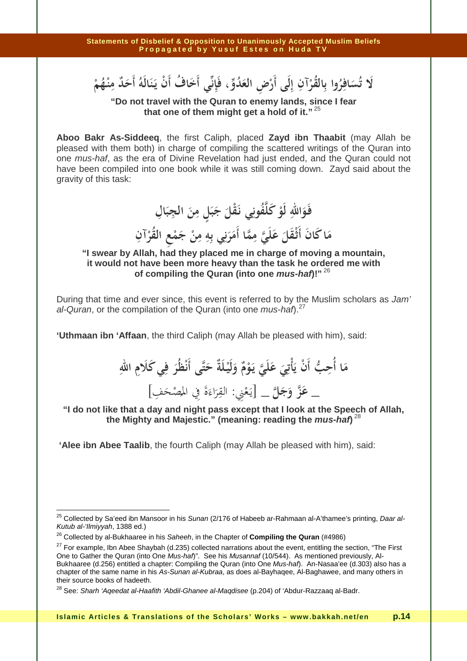**ُس َلا ت رِاف ُ ُ القر ِ وا ب ِآن ْض لَى أَر ِ إ ِ الع و ُد ي أَخ ِ ، فَإ اف ن ْن يـ ُ أَ ن الَه أَح ُ ٌد ِ م نـ ُه م َ ْ َ َ ب َ َ ْ ْ**

**"Do not travel with the Quran to enemy lands, since I fear that one of them might get a hold of it."**<sup>25</sup>

**Aboo Bakr As-Siddeeq**, the first Caliph, placed **Zayd ibn Thaabit** (may Allah be pleased with them both) in charge of compiling the scattered writings of the Quran into one mus-haf, as the era of Divine Revelation had just ended, and the Quran could not have been compiled into one book while it was still coming down. Zayd said about the gravity of this task:

فَوَاللهِ لَوْ كَلَّفُونِي نَقْلَ جَبَلٍ مِنَ الجِبَالِ **َ ْ َ َ َ َ** مَا كَانَ أَثْقَلَ عَلَيَّ مِمَّا أَمَرَنِي بِهِ مِنْ جَمْعِ القُرْآنِ<br>. **َ َ َ َ ن**<br>× <u>ز</u> ِ<br>ب **َ ْ**

**"I swear by Allah, had they placed me in charge of moving a mountain, it would not have been more heavy than the task he ordered me with of compiling the Quran (into one mus-haf)!"**<sup>26</sup>

During that time and ever since, this event is referred to by the Muslim scholars as Jam' al-Quran, or the compilation of the Quran (into one mus-haf).<sup>27</sup>

**'Uthmaan ibn 'Affaan**, the third Caliph (may Allah be pleased with him), said:

**م َ ِب ا أُح ْن ي أَ َ ِي أْت َ ع لَي َ يـ َ و ْ م ٌ و َ لَيـ ْ لَةٌ ح َ ى أَن ْظُر ت َ ِ ف ِ ِ االله َي كَلام َع\_ ز و َ َج ل \_** يـ[ َ ع ْ ِني: الق ِ ر َ اء َ َ في ة ُ الم ِ **"I do not like that a day and night pass except that I look at the Speech of Allah,**  ْص َف ح ِ [

**the Mighty and Majestic." (meaning: reading the mus-haf)** 28

 **'Alee ibn Abee Taalib**, the fourth Caliph (may Allah be pleased with him), said:

 $\overline{a}$ <sup>25</sup> Collected by Sa'eed ibn Mansoor in his Sunan (2/176 of Habeeb ar-Rahmaan al-A'thamee's printing, *Daar al-*Kutub al-'Ilmiyyah, 1388 ed.)

<sup>26</sup> Collected by al-Bukhaaree in his Saheeh, in the Chapter of **Compiling the Quran** (#4986)

 $27$  For example, Ibn Abee Shaybah (d.235) collected narrations about the event, entitling the section, "The First One to Gather the Quran (into One Mus-haf)". See his Musannaf (10/544). As mentioned previously, Al-Bukhaaree (d.256) entitled a chapter: Compiling the Quran (into One Mus-haf). An-Nasaa'ee (d.303) also has a chapter of the same name in his As-Sunan al-Kubraa, as does al-Bayhaqee, Al-Baghawee, and many others in their source books of hadeeth.

<sup>&</sup>lt;sup>28</sup> See: Sharh 'Aqeedat al-Haafith 'Abdil-Ghanee al-Maqdisee (p.204) of 'Abdur-Razzaaq al-Badr.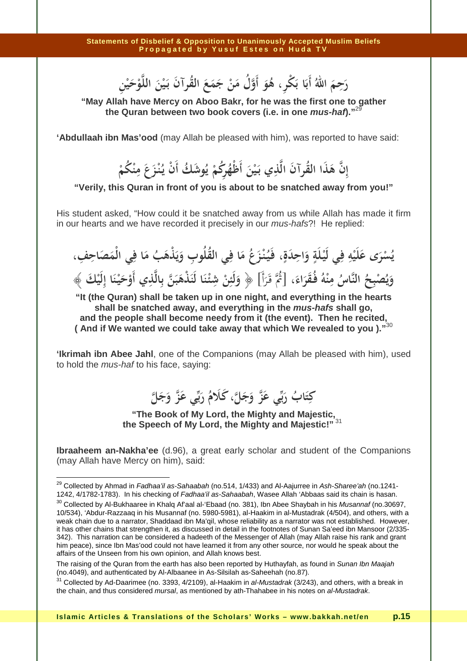رَحِمَ اللَّهُ أَبَا بَكْرِ ، هُوَ أَوَّلُ مَنْ جَمَعَ الْقُرآنُ بَيْنَ اللَّوْحَيْنِ ڵ رَحِمَ اللّٰهُ أَبَا بَكْرِ ، هُوَ أَوَّلُ مَنْ جَمَعَ الْقُرآنَ بَيْنَ<br>-**ِ**

**"May Allah have Mercy on Aboo Bakr, for he was the first one to gather the Quran between two book covers (i.e. in one mus-haf)."**<sup>29</sup>

**'Abdullaah ibn Mas'ood** (may Allah be pleased with him), was reported to have said:

إِنَّ هَذَا القَرآنَ الَّذِي بَيْنَ أَظْهُرِكُمْ يُوشَكُ أَنْ يُنْزَعَ مِنْكُمْ<br>. **ِ ْ ِ ْ** إِنَّ هَذَا القُرآنَ الَّذِي بَيْنَ أَظْهُرِكُمْ يُوشَكُ أَنْ يُنْزَعَ مِنْكُمْ **َ**

**"Verily, this Quran in front of you is about to be snatched away from you!"** 

His student asked, "How could it be snatched away from us while Allah has made it firm in our hearts and we have recorded it precisely in our mus-hafs?! He replied:

**ٍ يسرى عليه في ليـلة واحدة، َ ِ َ ٍ ِ ِ َ َ ْ ْ َ َ َ ْ ُ ِ ِ فـيـنـزع ما في القلوب ويذهب ما في الْمصاحف، َ َ َ ِ ِ َ َ َ ُ َ ْ ِ ُُ ُ َ ُْ َ ويصبح الناس منه فـقراء، َ َ ُ ُ ْ َُ َُ ُ ْ ِ ِ** [ثم قـرأَ َ **ْ ْ َ** ُ َ **﴿** [ **ولئن شئـنا لنذهبن بالذي أوحيـنا إليك َ َ َ ِ َ َ َ َ ْ َ ِ ِ ِ ََ ْ ْ ْ ِ َ ﴾**

**"It (the Quran) shall be taken up in one night, and everything in the hearts shall be snatched away, and everything in the mus-hafs shall go, and the people shall become needy from it (the event). Then he recited, ( And if We wanted we could take away that which We revealed to you )."**<sup>30</sup>

**'Ikrimah ibn Abee Jahl**, one of the Companions (may Allah be pleased with him), used to hold the mus-haf to his face, saying:



**"The Book of My Lord, the Mighty and Majestic, the Speech of My Lord, the Mighty and Majestic!"**<sup>31</sup>

**Ibraaheem an-Nakha'ee** (d.96), a great early scholar and student of the Companions (may Allah have Mercy on him), said:

 $\overline{\phantom{a}}$ 

<sup>&</sup>lt;sup>29</sup> Collected by Ahmad in *Fadhaa'il as-Sahaabah* (no.514, 1/433) and Al-Aajurree in *Ash-Sharee'ah* (no.1241-1242, 4/1782-1783). In his checking of Fadhaa'il as-Sahaabah, Wasee Allah 'Abbaas said its chain is hasan.

<sup>&</sup>lt;sup>30</sup> Collected by Al-Bukhaaree in Khalq Af'aal al-'Ebaad (no. 381), Ibn Abee Shaybah in his Musannaf (no.30697, 10/534), 'Abdur-Razzaaq in his Musannaf (no. 5980-5981), al-Haakim in al-Mustadrak (4/504), and others, with a weak chain due to a narrator, Shaddaad ibn Ma'qil, whose reliability as a narrator was not established. However, it has other chains that strengthen it, as discussed in detail in the footnotes of Sunan Sa'eed ibn Mansoor (2/335- 342). This narration can be considered a hadeeth of the Messenger of Allah (may Allah raise his rank and grant him peace), since Ibn Mas'ood could not have learned it from any other source, nor would he speak about the affairs of the Unseen from his own opinion, and Allah knows best.

The raising of the Quran from the earth has also been reported by Huthayfah, as found in Sunan Ibn Maajah (no.4049), and authenticated by Al-Albaanee in As-Silsilah as-Saheehah (no.87).

 $31$  Collected by Ad-Daarimee (no. 3393, 4/2109), al-Haakim in al-Mustadrak (3/243), and others, with a break in the chain, and thus considered mursal, as mentioned by ath-Thahabee in his notes on al-Mustadrak.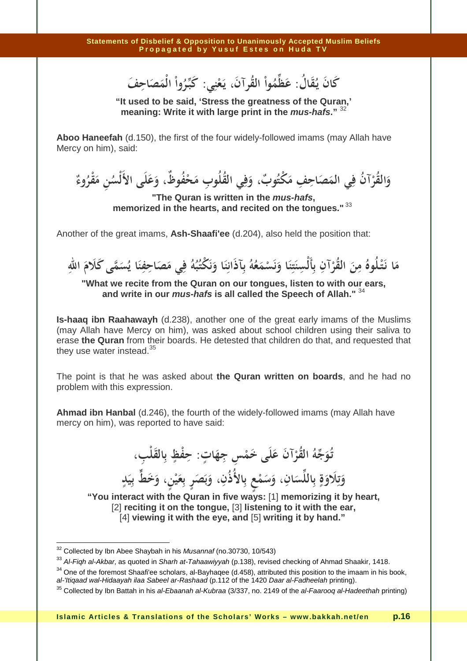**َ ُ كان يـقال ُ َ َ : عظموا القرآن، يـعني ْ َ َ ُ ْ ُ ِ** ِ مَظُّهُواْ الْقُرآنَ، يَعْنِي: كَبِّرُواْ الْمَصَاحِفَ<br>... ... ... **ِ ْ**

**"It used to be said, 'Stress the greatness of the Quran,' meaning: Write it with large print in the mus-hafs."** <sup>32</sup>

**Aboo Haneefah** (d.150), the first of the four widely-followed imams (may Allah have Mercy on him), said:

**و ُر الق ُآن ف َ ي الم ِ َص ِ ِف اح م ُ ٌوب ْكت ، و ف ي ُ القلُوب ِ م ِ ْح ُف ٌوظ، و َع لَى الأَ سلْ ُ ِن م ْقر ُ وء ٌ َ ْ َ َ َ َ َ**

**"The Quran is written in the mus-hafs, memorized in the hearts, and recited on the tongues."**<sup>33</sup>

Another of the great imams, **Ash-Shaafi'ee** (d.204), also held the position that:

مَا نَتْلُوهُ مِنَ القُرْآنِ بِأَلْسِنَتِنَا وَنَسْمَعُهُ بِآذَانِنَا وَنَكْتُبُهُ فِي مَصَاحِفِنَا يُسَمَّى كَلَامَ اللهِ<br>مَا نَتْلُوهُ مِنَ القُرْآنِ بِأَلْسِنَتِنَا وَنَسْمَعُهُ بِآذَانِنَا وَنَكْتُبُهُ فِي مَصَاحِفِنَ **َ** .<br>. **ْ ْ ِ َ ِ َ َ ْ َ ِ َ َ ِ َ َ ِ**

**"What we recite from the Quran on our tongues, listen to with our ears, and write in our mus-hafs is all called the Speech of Allah."** <sup>34</sup>

**Is-haaq ibn Raahawayh** (d.238), another one of the great early imams of the Muslims (may Allah have Mercy on him), was asked about school children using their saliva to erase **the Quran** from their boards. He detested that children do that, and requested that they use water instead. $^{35}$ 

The point is that he was asked about **the Quran written on boards**, and he had no problem with this expression.

**Ahmad ibn Hanbal** (d.246), the fourth of the widely-followed imams (may Allah have mercy on him), was reported to have said:

> تُوَجِّهُ القُرْآنَ عَلَى خَمْسٍ جِهَاتٍ: حِفْظٍ بِالقَلْبِ، **َ ْ َ ٍ ٍ** وَتِلَاوَةٍ بِاللِّسَانِ، وَسَمْعٍ بِالأُذُنِ، وَبَصَرٍ بِعَيْنٍ، وَخَطٍّ بِيَدٍ **ٍ**

**َ َ َ َ َ َ ْ َ َ "You interact with the Quran in five ways:** [1] **memorizing it by heart,**  [2] **reciting it on the tongue,** [3] **listening to it with the ear,**  [4] **viewing it with the eye, and** [5] **writing it by hand."**

**ٍ**

 $\overline{\phantom{a}}$ 

 $32$  Collected by Ibn Abee Shaybah in his *Musannaf* (no.30730, 10/543)

<sup>33</sup> Al-Fiah al-Akbar. as quoted in Sharh at-Tahaawiyyah (p.138), revised checking of Ahmad Shaakir, 1418.

 $34$  One of the foremost Shaafi'ee scholars, al-Bayhaqee (d.458), attributed this position to the imaam in his book, al-'Itiqaad wal-Hidaayah ilaa Sabeel ar-Rashaad (p.112 of the 1420 Daar al-Fadheelah printing).

 $35$  Collected by Ibn Battah in his al-Ebaanah al-Kubraa (3/337, no. 2149 of the al-Faarooq al-Hadeethah printing)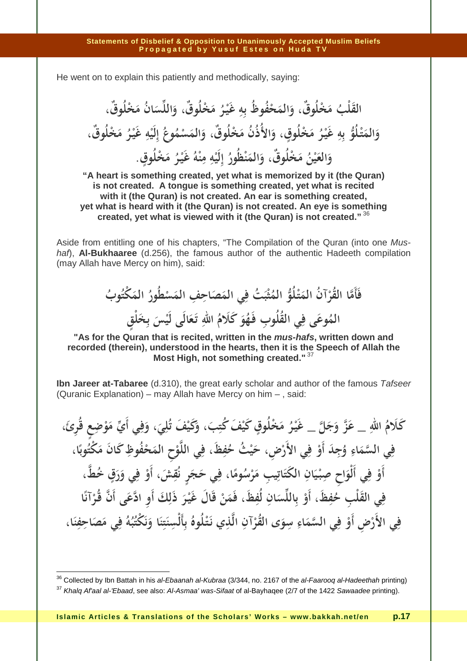He went on to explain this patiently and methodically, saying:

**َ ْلب الق ُ م َ لُ ٌوق، و ْخ َ الم َ ُف ُوظ ْح هِ ب ِ غَيـ ْ ر ُ م َ لُ ٌوق، و ْخ َ س الل َ ُ م ان َ ْخ لُ ٌوق ، و َ الم َ تـ ْ و ب لُ هِ ِ غَيـ ْ ر ُ م َ لُوق ْخ ، و ٍ َ ُ م الأُذُن َ لُ ٌوق، و ْخ َ الم َ ْس م ُ ُوع ِ إ لَي ْ ه ِ غَيـ ْ ر ُ م َ ْخ لُ ٌوق ، و َ الع َ ي ْ ُن ُ ُ م َ لُ ٌوق، و ْخ َ الم َ ْظ ن ُور ِ إ لَي ْ ه ِ ِ م ن ْ ه ُ غَيـ ْ ر م َ لُوق ْخ ٍ .**

**"A heart is something created, yet what is memorized by it (the Quran) is not created. A tongue is something created, yet what is recited with it (the Quran) is not created. An ear is something created, yet what is heard with it (the Quran) is not created. An eye is something created, yet what is viewed with it (the Quran) is not created."**<sup>36</sup>

Aside from entitling one of his chapters, "The Compilation of the Quran (into one Mushaf), **Al-Bukhaaree** (d.256), the famous author of the authentic Hadeeth compilation (may Allah have Mercy on him), said:

فَأَمَّا القُرْآنُ المَتْلُوُّ المُثْبَتُ فِي المَصَاحِفِ المَسْطُورُ المَكْتُوبُ **ْ َ ْ ْ َ َ** المُوعَى فِي القُلُوبِ فَهُوَ كَلَامُ اللهِ تَعَالَى لَيْسَ بِخَلْقٍ **َ ِ َ َ َ**

**"As for the Quran that is recited, written in the mus-hafs, written down and recorded (therein), understood in the hearts, then it is the Speech of Allah the Most High, not something created."**<sup>37</sup>

**Ibn Jareer at-Tabaree** (d.310), the great early scholar and author of the famous Tafseer (Quranic Explanation) – may Allah have Mercy on him – , said:

كَلَامُ اللهِ \_ عَزَّ وَجَلَّ \_ غَيْرُ مَخْلُوقٍ كَيْفَ كُتِبَ، وَكَيْفَ تُلِيَ، وَفِي أَيِّ مَوْضِعٍ قُرِئَ، **ِ َ َ ٍ َ َ ِ َ ِ َ** فِي السَّمَاءِ وُجِدَ أَوْ فِي الأَرْضِ، حَيْثُ حُفِظَ، فِي اللَّوْحِ المَحْفُوظِ كَانَ مَكْتُوبًا، **َ ْ َ َ ِ َ ًا**<br>. أَوْ فِي أَلْوَاحِ صِبْيَانِ الكَتَاتِيبِ مَرْسُومًا، فِي حَجَرٍ نُقِشَ، أَوْ فِي وَرَقٍ خُطَّ، **ْ ِ ْ َ َ َ ْ ً َ ْ َ** فِي القَلْبِ حُفِظَ، أَوْ بِاللِّسَانِ لُفِظَ، فَمَنْ قَالَ غَيْرَ ذَلِكَ أَوِ ادَّعَى أَنَّ قُرْآنًا **ْ َ َ ْ َ َ** فِي الأَرْضِ أَوْ فِي السَّمَاءِ سِوَى القُرْآنِ الَّذِي نَتْلُوهُ بِأَلْسِنَتِنَا وَنَكْتُبُهُ فِي مَصَاحِفِنَا، **ِ ْ َ َ ْ ْ ِ ِ َ ِ َ َ ِ َ**

 $36$  Collected by Ibn Battah in his al-Ebaanah al-Kubraa (3/344, no. 2167 of the al-Faarooq al-Hadeethah printing)

<sup>&</sup>lt;sup>37</sup> Khala Af'aal al-'Ebaad, see also: Al-Asmaa' was-Sifaat of al-Bayhaqee (2/7 of the 1422 Sawaadee printing).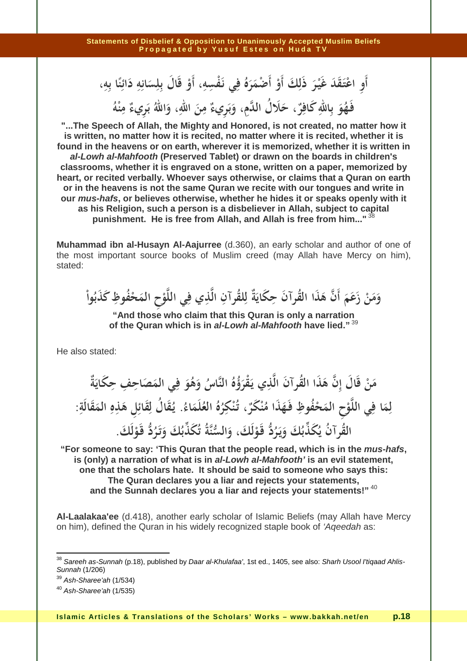أَوِ اعْتَقَدَ غَيْرَ ذَلِكَ أَوْ أَصْمَرَهُ فِي نَفْسِهِ، أَوْ قَالَ بِلِسَانِهِ دَائِنًا بِهِ، **ْ َ ْ َ َ َ َ ِ ْ ِ** ،<br>لگ **ً ِ** فَهُوَ بِاللَّهِ كَافِرٌ، حَلَالُ الدَّمِ، وَبَرِيءٌ مِنَ اللَّهِ، وَاللَّهُ بَرِيءٌ مِنْهُ **َ َ َ ب بہ َ ب**ر<br>. **ِ ْ**

**"...The Speech of Allah, the Mighty and Honored, is not created, no matter how it is written, no matter how it is recited, no matter where it is recited, whether it is found in the heavens or on earth, wherever it is memorized, whether it is written in al-Lowh al-Mahfooth (Preserved Tablet) or drawn on the boards in children's classrooms, whether it is engraved on a stone, written on a paper, memorized by heart, or recited verbally. Whoever says otherwise, or claims that a Quran on earth or in the heavens is not the same Quran we recite with our tongues and write in our mus-hafs, or believes otherwise, whether he hides it or speaks openly with it as his Religion, such a person is a disbeliever in Allah, subject to capital punishment. He is free from Allah, and Allah is free from him..."**<sup>38</sup>

**Muhammad ibn al-Husayn Al-Aajurree** (d.360), an early scholar and author of one of the most important source books of Muslim creed (may Allah have Mercy on him), stated:

وَمَنْ زَعَمَ أَنَّ هَذَا القُرآنَ حِكَايَةٌ لِلقُرآنِ الَّذِي فِي اللَّوْحِ المَحْفُوظِ كَذَبُواْ وَمَنْ زَعَمَ أَنْ هَذَا الْقُرَآنُ حِكَّايَةً لِلْقُرَآنِ اللَّذِي فِي اللَّوْحِ المُحَ<br>مَسْتَمَسْتُ **ِ** زَعَمَ أَنَّ هَذَا القُرآنَ حِكَايَةٌ لِلقُرآنِ الَّذِي فِي اللَّا **ِ َ**

**"And those who claim that this Quran is only a narration of the Quran which is in al-Lowh al-Mahfooth have lied."**<sup>39</sup>

He also stated:

مَنْ قَالَ إِنَّ هَذَا القُرآنَ الَّذِي يَقْرَؤُهُ النَّاسُ وَهُوَ فِي المَصَاحِفِ حِكَايَةٌ **َ َ** وهو فِي أَلْمَصْهُ ِ<br>نِي يَقْرَؤُهُ النَّاسُ وَهُوَ ۖ فِ قُرآنَ الَّذِي يَقْرَؤُهُ النَّاسُ وَهُوَ فِي المَصَاحِفِ حِكَايَةٌ ۖ<br>\* **َ ْ** لِمَا فِي اللَّوْحِ الْمَحْفُوظِ فَهَذَا مُنْكَرٌ ، تُنْكِرُهُ الْعُلْمَاءُ<br>ـ **َ** فِي اللَّوْحِ المَحْفُوظِ فَهَذَا مُنْكَرٌ ، تُنْكِ لِمَا فِي اللَّوْحِ المَحْفُوظِ فَهَذَا مُنْكَرٌ ، تُنْكِرُهُ العُلَمَاءُ. يُقَالُ لِقَائِلِ هَذِهِ المَقَالَةِ: **َ َ ِ ْ َ َ ِ** ر<br>پاک  **القرآن يكذبك ويـرد قـولك، والسنة تكذبك وتـرد ُ ُ َ ُ َ َ َ َ َ َ ُ َ ُ ُ َ َ ُ قـولك ْ َ َ ُ ُ . َ َ َ ْ**

**"For someone to say: 'This Quran that the people read, which is in the mus-hafs, is (only) a narration of what is in al-Lowh al-Mahfooth' is an evil statement, one that the scholars hate. It should be said to someone who says this: The Quran declares you a liar and rejects your statements, and the Sunnah declares you a liar and rejects your statements!"**<sup>40</sup>

**Al-Laalakaa'ee** (d.418), another early scholar of Islamic Beliefs (may Allah have Mercy on him), defined the Quran in his widely recognized staple book of 'Aqeedah as:

 $\overline{a}$ 

<sup>&</sup>lt;sup>38</sup> Saree*h as-Sunnah* (p.18), published by *Daar al-Khulafaa'*, 1st ed., 1405, see also: *Sharh Usool I'tiqaad Ahlis-*Sunnah (1/206)

 $39$  Ash-Sharee'ah (1/534)

 $40$  Ash-Sharee'ah (1/535)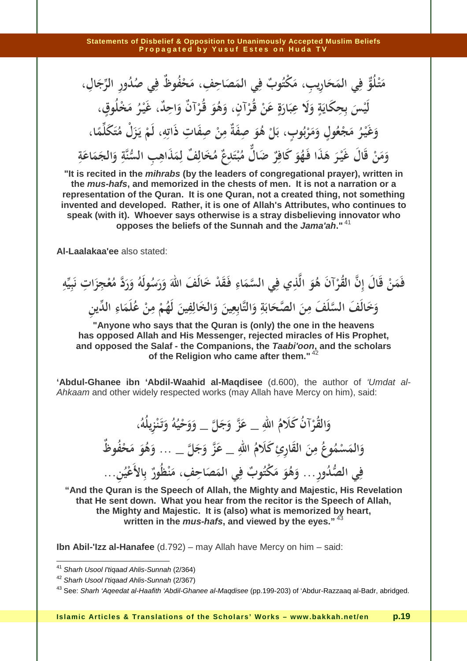مَتْلُوٌّ فِي المَحَارِيبِ، مَكْتُوبٌ فِي المَصَاحِفِ، مَحْفُوظٌ فِي صُدُورِ الرِّجَالِ، **َ ْ َ َ** لَيْسَ بِحِكَايَةٍ وَلَا عِبَارَةٍ عَنْ قُرْآنٍ، وَهُوَ قُرْآنٌ وَاحِلٌ، غَيْرُ مَخْلُوقٍ، **َ ُبِ َ ِ َ َ ْ َ َ ْ َ ْ َ ٍ** وَغَيْرُ مَجْعُولٍ وَمَرْبُوبٍ، بَلْ هُوَ صِفَةٌ مِنْ صِفَاتِ ذَاتِهِ، لَمْ يَزَلْ مُتَكَلِّمًا، **َ َ َ َ ْ ٍ ٔ َ ْ ِ ِ**<br>پا **ْ ب ً** وَمَنْ قَالَ غَيْرَ هَذَا فَهُوَ كَافِرٌ ضَالٌّ مُبْتَدِعٌ مُخَالِفٌ لِمَذَاهِبِ السُّنَّةِ وَالجَمَاعَةِ<br>مِنْ **َ َ ْ َ َ َ َ ْ َ َ ِ َ َ َ َ ِ**

**"It is recited in the mihrabs (by the leaders of congregational prayer), written in the mus-hafs, and memorized in the chests of men. It is not a narration or a representation of the Quran. It is one Quran, not a created thing, not something invented and developed. Rather, it is one of Allah's Attributes, who continues to speak (with it). Whoever says otherwise is a stray disbelieving innovator who opposes the beliefs of the Sunnah and the Jama'ah."**<sup>41</sup>

**Al-Laalakaa'ee** also stated:

فَمَنْ قَالَ إِنَّ القُرْآنَ هُوَ الَّذِي فِي السَّمَاءِ فَقَدْ خَالَفَ اللَّهَ وَرَسُولَهُ وَرَدَّ مُعْجِزَاتِ نَبِيِّهِ **َ ْ َ َ َ َ َ َ** .<br>نر **ِ ِ** وَخَالَفَ السَّلَفَ مِنَ الصَّحَابَةِ وَالتَّابِعِينَ وَالخَالِفِينَ لَهُمْ مِنْ عُلَمَاءِ الدِّينِ<br>مَسْتَقِيدَ السَّلَفَ الصَّحَابَةِ وَالتَّابِعِينَ وَالخَالِفِينَ لَهُمْ مِنْ عُلَمَاءِ الدِّينِ **َ َ ب َ َ َ َ َ ْ َ**

**"Anyone who says that the Quran is (only) the one in the heavens has opposed Allah and His Messenger, rejected miracles of His Prophet, and opposed the Salaf - the Companions, the Taabi'oon, and the scholars of the Religion who came after them."**<sup>42</sup>

**'Abdul-Ghanee ibn 'Abdil-Waahid al-Maqdisee** (d.600), the author of 'Umdat al-Ahkaam and other widely respected works (may Allah have Mercy on him), said:

> وَالقُرْآنُ كَلَامُ اللهِ \_ عَزَّ وَجَلَّ \_ وَوَحْيُهُ وَتَنْزِيلُهُ، **َ ْ َ َ َ َ َ َ ْ** وَالمَسْمُوعُ مِنَ القَارِئِ كَلَامُ اللهِ \_ عَزَّ وَجَلَّ \_ … وَهُوَ مَحْفُوظٌ **َ َ ِ َ َ َ َ ِور... و ُ د ِي الص <sup>ف</sup> ُه و م ُ ٌوب ْكت َ ي الم ِ ف َص ِ ِف اح ، م ْظ ن ُور ٌ َع ِالأ ب ي ُ ِن... َ َ َ َ ْ**

**"And the Quran is the Speech of Allah, the Mighty and Majestic, His Revelation that He sent down. What you hear from the recitor is the Speech of Allah, the Mighty and Majestic. It is (also) what is memorized by heart, written in the mus-hafs, and viewed by the eyes."**<sup>43</sup>

**Ibn Abil-'Izz al-Hanafee** (d.792) – may Allah have Mercy on him – said:

 $\overline{a}$ 

<sup>&</sup>lt;sup>41</sup> Sharh Usool I'tiqaad Ahlis-Sunnah (2/364)

<sup>42</sup> Sharh Usool I'tiqaad Ahlis-Sunnah (2/367)

<sup>&</sup>lt;sup>43</sup> See: Sharh 'Aqeedat al-Haafith 'Abdil-Ghanee al-Maqdisee (pp.199-203) of 'Abdur-Razzaaq al-Badr, abridged.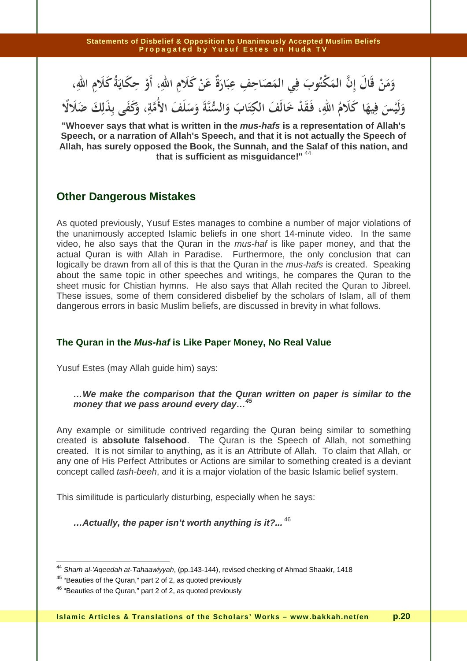#### وَمَنْ قَالَ إِنَّ المَكْتُوبَ فِي المَصَاحِفِ عِبَارَةٌ عَنْ كَلَامِ اللهِ، أَوْ حِكَايَةُ كَلَامِ اللهِ، **َ َ َ َ َ ْ ب**<br>.

وَلَيْسَ فِيهَا كَلَامُ اللهِ، فَقَدْ خَالَفَ الْكِتَابَ وَالسُّنَّةَ وَسَلَفَ الأُمَّةِ، وَكَفَى بِذَلِكَ ضَلَالًا **َ َ َ ِ َ َ َ**

**"Whoever says that what is written in the mus-hafs is a representation of Allah's Speech, or a narration of Allah's Speech, and that it is not actually the Speech of Allah, has surely opposed the Book, the Sunnah, and the Salaf of this nation, and that is sufficient as misguidance!"**<sup>44</sup>

## **Other Dangerous Mistakes**

As quoted previously, Yusuf Estes manages to combine a number of major violations of the unanimously accepted Islamic beliefs in one short 14-minute video. In the same video, he also says that the Quran in the mus-haf is like paper money, and that the actual Quran is with Allah in Paradise. Furthermore, the only conclusion that can logically be drawn from all of this is that the Quran in the *mus-hafs* is created. Speaking about the same topic in other speeches and writings, he compares the Quran to the sheet music for Chistian hymns. He also says that Allah recited the Quran to Jibreel. These issues, some of them considered disbelief by the scholars of Islam, all of them dangerous errors in basic Muslim beliefs, are discussed in brevity in what follows.

## **The Quran in the Mus-haf is Like Paper Money, No Real Value**

Yusuf Estes (may Allah guide him) says:

## **…We make the comparison that the Quran written on paper is similar to the money that we pass around every day…<sup>45</sup>**

Any example or similitude contrived regarding the Quran being similar to something created is **absolute falsehood**. The Quran is the Speech of Allah, not something created. It is not similar to anything, as it is an Attribute of Allah. To claim that Allah, or any one of His Perfect Attributes or Actions are similar to something created is a deviant concept called tash-beeh, and it is a major violation of the basic Islamic belief system.

This similitude is particularly disturbing, especially when he says:

**…Actually, the paper isn't worth anything is it?...** <sup>46</sup>

 $\overline{a}$ <sup>44</sup> S*harh al-'Aqeedah at-Tahaawiyyah*, (pp.143-144), revised checking of Ahmad Shaakir, 1418

<sup>45</sup> "Beauties of the Quran," part 2 of 2, as quoted previously

<sup>46</sup> "Beauties of the Quran," part 2 of 2, as quoted previously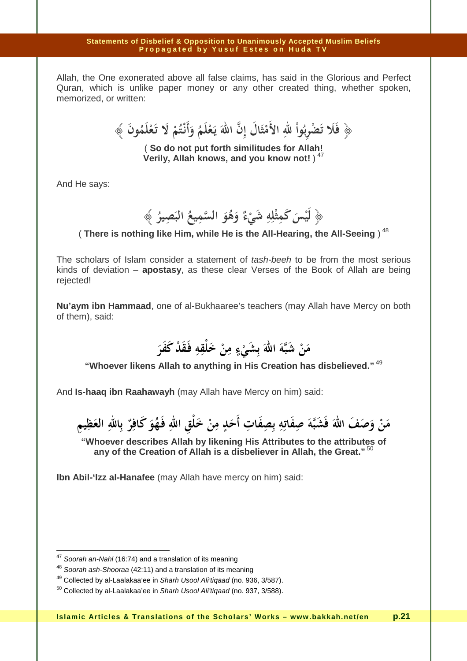Allah, the One exonerated above all false claims, has said in the Glorious and Perfect Quran, which is unlike paper money or any other created thing, whether spoken, memorized, or written:

 ﴿ **َ فلا تضربوا الله الأمثال إن االله يـعلم وأنـتم لا تـعلمون ُ ْ َ َ َ ْ ْ َ َ َ َ ُ ُ َ ُ َ** .<br>أ **َ** فَلَا تَصْرِبُواْ للهِ الأَمْثَالَ إِنَّ اللهَ يَعْلَمُ وَأَنْتُمْ لَا تَعْلَمُونَ ﴾ **َ َ ِ ْ**

( **So do not put forth similitudes for Allah! Verily, Allah knows, and you know not!** )<sup>47</sup>

And He says:

**ْس** ﴿ **لَي َ كم ث ل ه َي ش ِ ء ٌ و ُه و م الس ُ يع ِ َص الب ير ِ ُ** ﴾ **َ ِ ْ ِ ْ َ َ**

( There is nothing like Him, while He is the All-Hearing, the All-Seeing)<sup>48</sup>

The scholars of Islam consider a statement of tash-beeh to be from the most serious kinds of deviation – **apostasy**, as these clear Verses of the Book of Allah are being rejected!

**Nu'aym ibn Hammaad**, one of al-Bukhaaree's teachers (may Allah have Mercy on both of them), said:

> **من شبه االله بشيء من خلقه فـقد كفر َ َ ْ ََ ِِ** ر<br>. **ْ** نَ شَبَهُ الله بِشَيْءٍ مِنَ خُ<br>م ثَبَّةَ اللهَ بِشَيْءٍ هِ **ْ َ**

**"Whoever likens Allah to anything in His Creation has disbelieved."**<sup>49</sup>

And **Is-haaq ibn Raahawayh** (may Allah have Mercy on him) said:

**ْ ِ من وصف االله فشبه صفاته بصفات أحد من خلق ا َ ْ ْ ِ ٍ ِ** مَنْ وَصَفَ اللهَ فَشَبَّهَ صِفَاتِهِ بِصِفَاتِ أَحَدٍ مِنْ خَلْقِ اللهِ فَهُوَ كَافِرٌ بِاللهِ العَظِيمِ<br>م **َ ِ َ ِ َ ٌ َ ُ ِ َ َ**

**"Whoever describes Allah by likening His Attributes to the attributes of any of the Creation of Allah is a disbeliever in Allah, the Great."**<sup>50</sup>

**Ibn Abil-'Izz al-Hanafee** (may Allah have mercy on him) said:

 $47$  Soorah an-Nahl (16:74) and a translation of its meaning

<sup>&</sup>lt;sup>48</sup> Soorah ash-Shooraa (42:11) and a translation of its meaning

<sup>&</sup>lt;sup>49</sup> Collected by al-Laalakaa'ee in Sharh Usool Ali'tiqaad (no. 936, 3/587).

 $50$  Collected by al-Laalakaa'ee in Sharh Usool Ali'tigaad (no. 937, 3/588).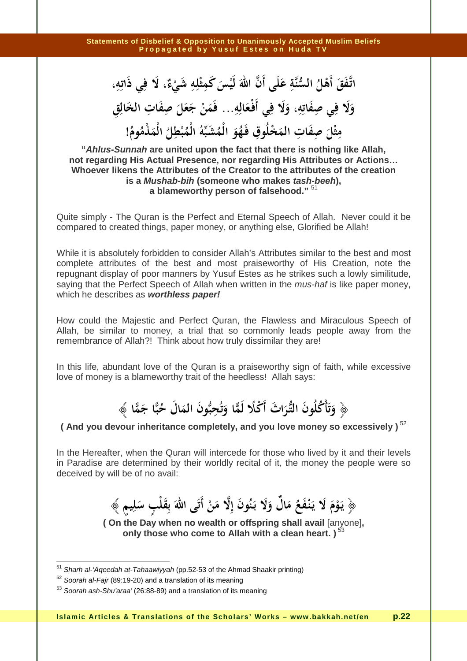اتَّفَقَ أَهْلُ السُّنَّةِ عَلَى أَنَّ اللهَ لَيْسَ كَمِثْلِهِ شَيْءٌ، لَا فِي ذَاتِهِ،<br>' .<br>. **ِ ْ ِ ْ َ َ** وَلَا فِي صِفَاتِهِ، وَلَا فِي أَفْعَالِهِ... فَمَنْ جَعَلَ صِفَاتِ الخَالِقِ **َ َ َ ِ َ ِ َ ِ َ َ** مِثْلَ صِفَاتِ المَخْلُوقِ فَهُوَ الْمُشَبِّهُ الْمُبْطِلُ الْمَذْمُومُ!<br>مثل صفات **َ ِ َ ِ َ ْ ِ ْ ِ**

**"Ahlus-Sunnah are united upon the fact that there is nothing like Allah, not regarding His Actual Presence, nor regarding His Attributes or Actions… Whoever likens the Attributes of the Creator to the attributes of the creation is a Mushab-bih (someone who makes tash-beeh), a blameworthy person of falsehood."** <sup>51</sup>

Quite simply - The Quran is the Perfect and Eternal Speech of Allah. Never could it be compared to created things, paper money, or anything else, Glorified be Allah!

While it is absolutely forbidden to consider Allah's Attributes similar to the best and most complete attributes of the best and most praiseworthy of His Creation, note the repugnant display of poor manners by Yusuf Estes as he strikes such a lowly similitude, saying that the Perfect Speech of Allah when written in the *mus-haf* is like paper money, which he describes as **worthless paper!**

How could the Majestic and Perfect Quran, the Flawless and Miraculous Speech of Allah, be similar to money, a trial that so commonly leads people away from the remembrance of Allah?! Think about how truly dissimilar they are!

In this life, abundant love of the Quran is a praiseworthy sign of faith, while excessive love of money is a blameworthy trait of the heedless! Allah says:

> ﴿ **ْ َ َ وتأكلون التـراث أكلا لما وتحبون ال ُ َ َ َ َ ً ُ َ َ ْ ُ مال حبا جما َ ُ َ** ﴾ **ِ َ َ**

**( And you devour inheritance completely, and you love money so excessively )**<sup>52</sup>

In the Hereafter, when the Quran will intercede for those who lived by it and their levels in Paradise are determined by their worldly recital of it, the money the people were so deceived by will be of no avail:

 ﴿ **ٍ يـوم لا يـنـفع مال ولا بـنون إلا من أتى االله بقلب سليم َ ْ ُ ْ ٍ ْ َ َ َ َ َ َ َ ُ َ َ ٌ َ ْ َ** ﴾ **ِ** را<br>با **َ ت**<br>, **َ ِ َ**

**( On the Day when no wealth or offspring shall avail** [anyone]**, only those who come to Allah with a clean heart.)**<sup>53</sup>

<sup>&</sup>lt;sup>51</sup> Sharh al-'Aqeedah at-Tahaawiyyah (pp.52-53 of the Ahmad Shaakir printing)

 $52$  Soorah al-Fair (89:19-20) and a translation of its meaning

<sup>&</sup>lt;sup>53</sup> Soorah ash-Shu'araa' (26:88-89) and a translation of its meaning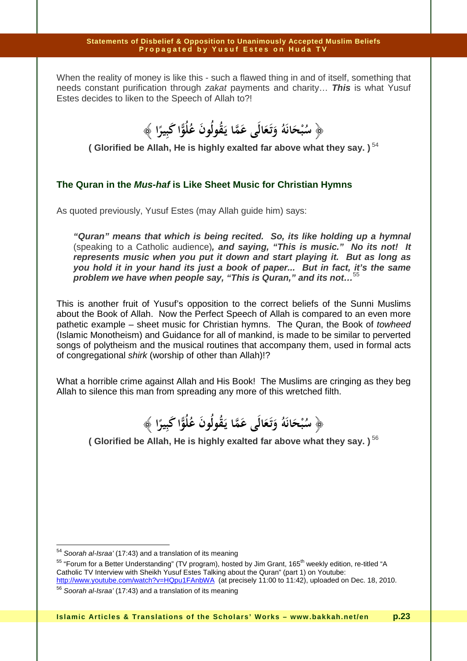When the reality of money is like this - such a flawed thing in and of itself, something that needs constant purification through zakat payments and charity… **This** is what Yusuf Estes decides to liken to the Speech of Allah to?!

 ﴿ **سبحانه وتـعالى ع َ َُ َ ُْ ما يـقولون علوا كبيرا َ ُ ُ َ ُ ُ**  ﴾ **َ َ َ َ ً ِ ب** 

**( Glorified be Allah, He is highly exalted far above what they say. )**<sup>54</sup>

## **The Quran in the Mus-haf is Like Sheet Music for Christian Hymns**

As quoted previously, Yusuf Estes (may Allah guide him) says:

**"Quran" means that which is being recited. So, its like holding up a hymnal**  (speaking to a Catholic audience)**, and saying, "This is music." No its not! It represents music when you put it down and start playing it. But as long as you hold it in your hand its just a book of paper... But in fact, it's the same problem we have when people say, "This is Quran," and its not…**<sup>55</sup>

This is another fruit of Yusuf's opposition to the correct beliefs of the Sunni Muslims about the Book of Allah. Now the Perfect Speech of Allah is compared to an even more pathetic example – sheet music for Christian hymns. The Quran, the Book of towheed (Islamic Monotheism) and Guidance for all of mankind, is made to be similar to perverted songs of polytheism and the musical routines that accompany them, used in formal acts of congregational shirk (worship of other than Allah)!?

What a horrible crime against Allah and His Book! The Muslims are cringing as they beg Allah to silence this man from spreading any more of this wretched filth.

> ﴿ **سبحانه وتـعالى عما يـقولون علوا كبيرا َ ُ ُ َ َ ُ َ ُ َ َ َ َُ َ ُْ** ﴾ **ً ِ َ**

**( Glorified be Allah, He is highly exalted far above what they say.)**<sup>56</sup>

 $54$  Soorah al-Israa' (17:43) and a translation of its meaning

<sup>&</sup>lt;sup>55</sup> "Forum for a Better Understanding" (TV program), hosted by Jim Grant, 165<sup>th</sup> weekly edition, re-titled "A Catholic TV Interview with Sheikh Yusuf Estes Talking about the Quran" (part 1) on Youtube: http://www.youtube.com/watch?v=HQpu1FAnbWA (at precisely 11:00 to 11:42), uploaded on Dec. 18, 2010.

<sup>&</sup>lt;sup>56</sup> Soorah al-Israa' (17:43) and a translation of its meaning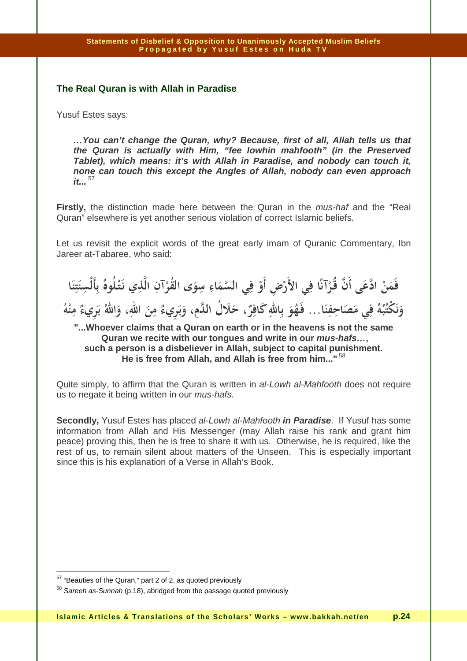## **The Real Quran is with Allah in Paradise**

Yusuf Estes says:

**…You can't change the Quran, why? Because, first of all, Allah tells us that the Quran is actually with Him, "fee lowhin mahfooth" (in the Preserved Tablet), which means: it's with Allah in Paradise, and nobody can touch it, none can touch this except the Angles of Allah, nobody can even approach**   $it...$ <sup>57</sup>

**Firstly,** the distinction made here between the Quran in the mus-haf and the "Real Quran" elsewhere is yet another serious violation of correct Islamic beliefs.

Let us revisit the explicit words of the great early imam of Quranic Commentary, Ibn Jareer at-Tabaree, who said:

فَمَنْ ادَّعَى أَنَّ قُرْآنًا فِي الأَرْضِ أَوْ فِي السَّمَاءِ سِوَى القُرْآنِ الَّذِي نَتْلُوهُ بِأَلْسِنَتِنَا **َ َ ِ ْ َ َ ْ ْ ِ ِ َ ِ َ** وَنَكْتُبُهُ فِي مَصَاحِفِنَا . . فَهُوَ بِاللّهِ كَافِرٌ ، حَلَالُ اللَّمِ، وَبَرِيءٌ مِنَ اللهِ، وَاللّهُ بَرِيءٌ مِنْهُ **َ ِ َ َ َ َ ب ب**ر<br>بر **َ** ابر<br>ا **ِ ْ**

**"...Whoever claims that a Quran on earth or in the heavens is not the same Quran we recite with our tongues and write in our mus-hafs…, such a person is a disbeliever in Allah, subject to capital punishment. He is free from Allah, and Allah is free from him..."**<sup>58</sup>

Quite simply, to affirm that the Quran is written in al-Lowh al-Mahfooth does not require us to negate it being written in our mus-hafs.

**Secondly,** Yusuf Estes has placed al-Lowh al-Mahfooth **in Paradise**. If Yusuf has some information from Allah and His Messenger (may Allah raise his rank and grant him peace) proving this, then he is free to share it with us. Otherwise, he is required, like the rest of us, to remain silent about matters of the Unseen. This is especially important since this is his explanation of a Verse in Allah's Book.

 $57$  "Beauties of the Quran," part 2 of 2, as quoted previously

<sup>&</sup>lt;sup>58</sup> Sareeh as-Sunnah (p.18), abridged from the passage quoted previously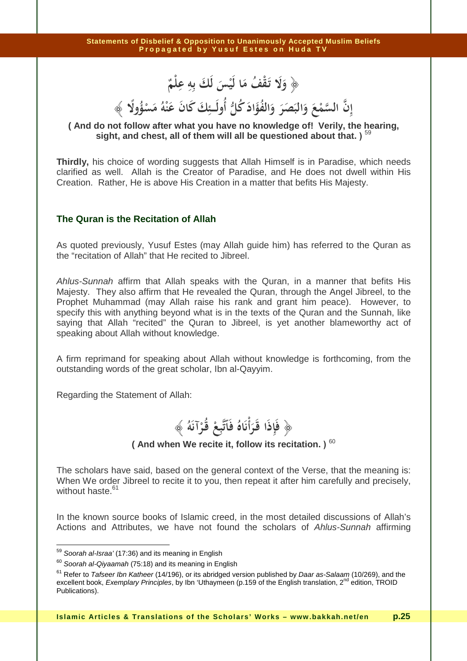﴿ **ولا تـقف ما ليس لك به علم ٌ َ ْ ِ ِِ َ َ ْ َ ُ ْ َ َ َ َ**

## **َ َْ ُ ْ َ ْ َ َ ُ ُ َ ً إن السمع والبصر والفؤاد كل أولــــئك كان عنه مسؤولا َ ُ َ ُ َ َ ََ َ َ ِ** ﴾ **ِ**

## **( And do not follow after what you have no knowledge of! Verily, the hearing, sight, and chest, all of them will all be questioned about that. )** <sup>59</sup>

**Thirdly,** his choice of wording suggests that Allah Himself is in Paradise, which needs clarified as well. Allah is the Creator of Paradise, and He does not dwell within His Creation. Rather, He is above His Creation in a matter that befits His Majesty.

## **The Quran is the Recitation of Allah**

As quoted previously, Yusuf Estes (may Allah guide him) has referred to the Quran as the "recitation of Allah" that He recited to Jibreel.

Ahlus-Sunnah affirm that Allah speaks with the Quran, in a manner that befits His Majesty. They also affirm that He revealed the Quran, through the Angel Jibreel, to the Prophet Muhammad (may Allah raise his rank and grant him peace). However, to specify this with anything beyond what is in the texts of the Quran and the Sunnah, like saying that Allah "recited" the Quran to Jibreel, is yet another blameworthy act of speaking about Allah without knowledge.

A firm reprimand for speaking about Allah without knowledge is forthcoming, from the outstanding words of the great scholar, Ibn al-Qayyim.

Regarding the Statement of Allah:

 ﴿ **فإذا قـرأناه فاتبع قـرآنه َُ َ ُ َ ِ َّ َ ُ ِ** ﴾ **ْ ْ ْ َ َ**

**( And when We recite it, follow its recitation. )** <sup>60</sup>

The scholars have said, based on the general context of the Verse, that the meaning is: When We order Jibreel to recite it to you, then repeat it after him carefully and precisely, without haste.<sup>61</sup>

In the known source books of Islamic creed, in the most detailed discussions of Allah's Actions and Attributes, we have not found the scholars of Ahlus-Sunnah affirming

 $\overline{a}$ 

<sup>&</sup>lt;sup>59</sup> Soorah al-Israa' (17:36) and its meaning in English

<sup>&</sup>lt;sup>60</sup> Soorah al-Qivaamah (75:18) and its meaning in English

 $61$  Refer to Tafseer Ibn Katheer (14/196), or its abridged version published by Daar as-Salaam (10/269), and the excellent book, Exemplary Principles, by Ibn 'Uthaymeen (p.159 of the English translation, 2<sup>nd</sup> edition, TROID Publications).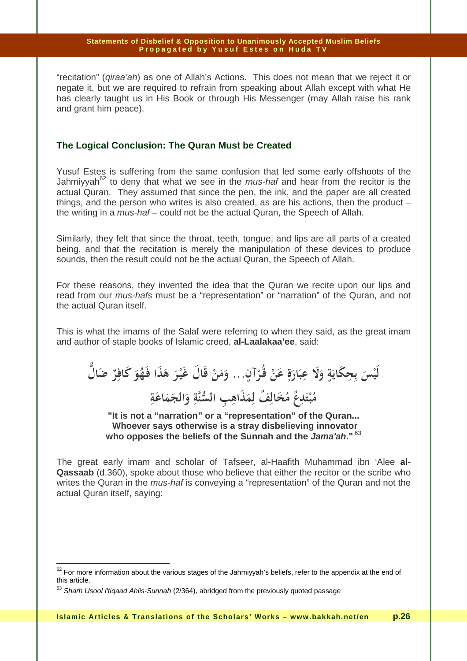"recitation" (qiraa'ah) as one of Allah's Actions. This does not mean that we reject it or negate it, but we are required to refrain from speaking about Allah except with what He has clearly taught us in His Book or through His Messenger (may Allah raise his rank and grant him peace).

## **The Logical Conclusion: The Quran Must be Created**

Yusuf Estes is suffering from the same confusion that led some early offshoots of the Jahmiyyah<sup>62</sup> to deny that what we see in the *mus-haf* and hear from the recitor is the actual Quran. They assumed that since the pen, the ink, and the paper are all created things, and the person who writes is also created, as are his actions, then the product  $$ the writing in a mus-haf – could not be the actual Quran, the Speech of Allah.

Similarly, they felt that since the throat, teeth, tongue, and lips are all parts of a created being, and that the recitation is merely the manipulation of these devices to produce sounds, then the result could not be the actual Quran, the Speech of Allah.

For these reasons, they invented the idea that the Quran we recite upon our lips and read from our mus-hafs must be a "representation" or "narration" of the Quran, and not the actual Quran itself.

This is what the imams of the Salaf were referring to when they said, as the great imam and author of staple books of Islamic creed, **al-Laalakaa'ee**, said:

لَيْسَ بِحِكَايَةٍ وَلَا عِبَارَةٍ عَنْ قُرْآنٍ... وَمَنْ قَالَ غَيْرَ هَذَا فَهُوَ كَافِرٌ ضَالٌ **َ يا**<br>-**َ ِ َ َ ْ َ َ ْ َ َ َ َ م ُ ب ت ِعد ٌ م ُ َخ ِف ال ٌ مِ ل ِ الس ِب َذاه ةن و الج م اع ة ْ َ َ ِ َ َ َ َ ِ**

**"It is not a "narration" or a "representation" of the Quran... Whoever says otherwise is a stray disbelieving innovator who opposes the beliefs of the Sunnah and the Jama'ah."**<sup>63</sup>

The great early imam and scholar of Tafseer, al-Haafith Muhammad ibn 'Alee **al-Qassaab** (d.360), spoke about those who believe that either the recitor or the scribe who writes the Quran in the *mus-haf* is conveying a "representation" of the Quran and not the actual Quran itself, saying:

 $\overline{\phantom{a}}$ 

 $62$  For more information about the various stages of the Jahmiyyah's beliefs, refer to the appendix at the end of this article.

<sup>&</sup>lt;sup>63</sup> Sharh Usool I'tiqaad Ahlis-Sunnah (2/364), abridged from the previously quoted passage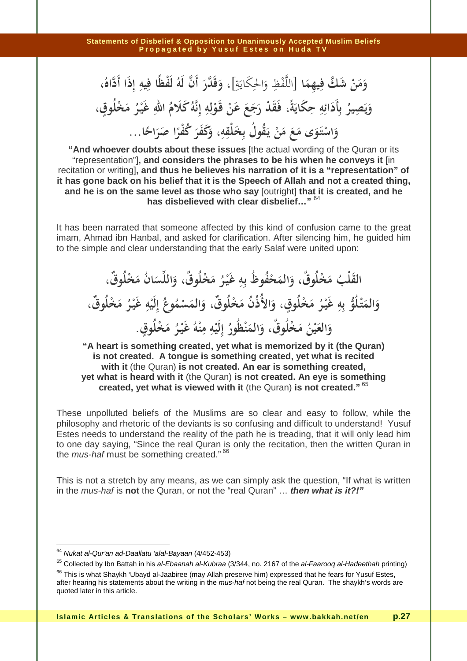وَمَنْ شَكَّ فِيهِمَا [اللَّفْظِ وَالحِكَايَةِ]، وَقَدَّرَ أَنَّ لَهُ لَفْظًا فِيهِ إِذَا أَدَّاهُ **ِ ِ**  $\frac{1}{2}$ َ ِيا<br>:  $\ddot{a}$ وَقَدَّرَ أَنَّ لَهُ لَفَظًا فِيهِ إِذَا أَدَّاهُ،<br>· وَيَصِيرُ بِأَدَائِهِ حِكَايَةً، فَقَدْ رَجَعَ عَنْ قَوْلِهِ إِنَّهُ كَلَامُ اللهِ غَيْرُ مَخْلُوقٍ، وَيَصِيرُ بِأَدَائِهِ حِكَايَة، فَقَدْ رَجَعَ عَنْ قَوْ **َ ِ َ َ ِ** وَاسْتَوَى مَعَ مَنْ يَقُولُ بِخَلْقِهِ، وَكَفَرَ كُفْرًا صَرَاحًا...<br>.. **َ ْ َ ِ**

**"And whoever doubts about these issues** [the actual wording of the Quran or its "representation"]**, and considers the phrases to be his when he conveys it** [in recitation or writing]**, and thus he believes his narration of it is a "representation" of it has gone back on his belief that it is the Speech of Allah and not a created thing, and he is on the same level as those who say** [outright] **that it is created, and he has disbelieved with clear disbelief…"** <sup>64</sup>

It has been narrated that someone affected by this kind of confusion came to the great imam, Ahmad ibn Hanbal, and asked for clarification. After silencing him, he guided him to the simple and clear understanding that the early Salaf were united upon:

القَلْبُ مَخْلُوقٌ، وَالمَحْفُوظُ بِهِ غَيْرُ مَخْلُوقٌ، وَاللِّسَانُ مَخْلُوقٌ،<br>. **َ َ َ ِ ْ َ َ َ َ** وَالمَتْلُوُّ بِهِ غَيْرُ مَخْلُوقٍ، وَالأُذُنُ مَخْلُوقٌ، وَالمَسْمُوعُ إِلَيْهِ غَيْرُ مَخْلُوقٌ، **َ َ ْ ِ ْ َ َ َ َ َ ْ ِ ْ َ و الع ي ُن م لُ ٌوق، و ْخ الم ْظ ن ُور ُ ِ إ لَي ه ِ م ن ه ُ غَيـ ر ُ م لُوق ْخ . َ َ ْ َ َ َ ْ ِ ْ ْ َ ٍ**

**"A heart is something created, yet what is memorized by it (the Quran) is not created. A tongue is something created, yet what is recited with it** (the Quran) **is not created. An ear is something created, yet what is heard with it** (the Quran) **is not created. An eye is something created, yet what is viewed with it** (the Quran) **is not created."**<sup>65</sup>

These unpolluted beliefs of the Muslims are so clear and easy to follow, while the philosophy and rhetoric of the deviants is so confusing and difficult to understand! Yusuf Estes needs to understand the reality of the path he is treading, that it will only lead him to one day saying, "Since the real Quran is only the recitation, then the written Quran in the *mus-haf* must be something created."<sup>66</sup>

This is not a stretch by any means, as we can simply ask the question, "If what is written in the mus-haf is **not** the Quran, or not the "real Quran" … **then what is it?!"** 

 $\overline{\phantom{a}}$ 

<sup>&</sup>lt;sup>64</sup> Nukat al-Qur'an ad-Daallatu 'alal-Bayaan (4/452-453)

<sup>&</sup>lt;sup>65</sup> Collected by Ibn Battah in his al-Ebaanah al-Kubraa (3/344, no. 2167 of the al-Faarooq al-Hadeethah printing)

<sup>&</sup>lt;sup>66</sup> This is what Shaykh 'Ubayd al-Jaabiree (may Allah preserve him) expressed that he fears for Yusuf Estes, after hearing his statements about the writing in the mus-haf not being the real Quran. The shaykh's words are quoted later in this article.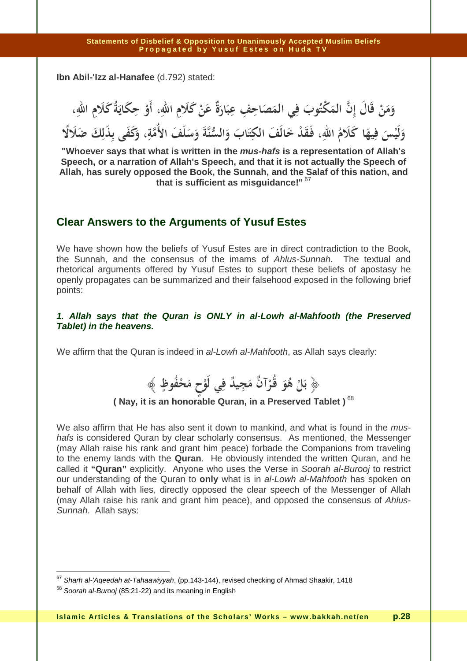**Ibn Abil-'Izz al-Hanafee** (d.792) stated:

وَمَنْ قَالَ إِنَّ المَكْتُوبَ فِي المَصَاحِفِ عِبَارَةٌ عَنْ كَلَامِ اللهِ، أَوْ حِكَايَةُ كَلَامِ اللهِ، **َ َ َ َ َ ْ يا**<br>. وَلَيْسَ فِيهَا كَلَامُ اللهِ، فَقَدْ خَالَفَ الْكِتَابَ وَالسُّنَّةَ وَسَلَفَ الأُمَّةِ، وَكَفَى بِذَلِكَ ضَلَالًا **َ َ َ ِ َ َ َ**

**"Whoever says that what is written in the mus-hafs is a representation of Allah's Speech, or a narration of Allah's Speech, and that it is not actually the Speech of Allah, has surely opposed the Book, the Sunnah, and the Salaf of this nation, and that is sufficient as misguidance!"**<sup>67</sup>

## **Clear Answers to the Arguments of Yusuf Estes**

We have shown how the beliefs of Yusuf Estes are in direct contradiction to the Book, the Sunnah, and the consensus of the imams of Ahlus-Sunnah. The textual and rhetorical arguments offered by Yusuf Estes to support these beliefs of apostasy he openly propagates can be summarized and their falsehood exposed in the following brief points:

## **1. Allah says that the Quran is ONLY in al-Lowh al-Mahfooth (the Preserved Tablet) in the heavens.**

We affirm that the Quran is indeed in al-Lowh al-Mahfooth, as Allah says clearly:

 ﴿ **بل هو قـرآن مجيد في لوح محفوظ ُ ْ َ َ َ ٌ ٌ ُ َ ُ ْ** ﴾ **ٍ ٍ ْ َ ِ ِ ْ**

## **( Nay, it is an honorable Quran, in a Preserved Tablet )**<sup>68</sup>

We also affirm that He has also sent it down to mankind, and what is found in the *mus*hafs is considered Quran by clear scholarly consensus. As mentioned, the Messenger (may Allah raise his rank and grant him peace) forbade the Companions from traveling to the enemy lands with the **Quran**. He obviously intended the written Quran, and he called it **"Quran"** explicitly. Anyone who uses the Verse in Soorah al-Burooj to restrict our understanding of the Quran to **only** what is in al-Lowh al-Mahfooth has spoken on behalf of Allah with lies, directly opposed the clear speech of the Messenger of Allah (may Allah raise his rank and grant him peace), and opposed the consensus of Ahlus-Sunnah. Allah says:

 $^{67}$  S*harh al-'Aqeedah at-Tahaawiyyah*, (pp.143-144), revised checking of Ahmad Shaakir, 1418

<sup>&</sup>lt;sup>68</sup> Soorah al-Burooi (85:21-22) and its meaning in English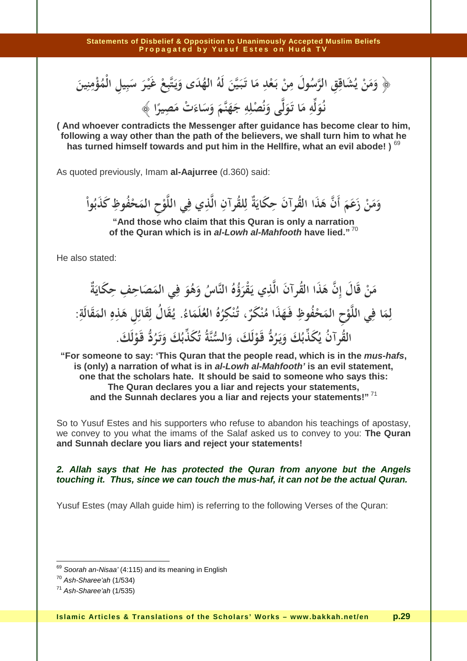﴿ وَمَنْ يُشَاقِقِ الرَّسُولَ مِنْ بَعْدِ مَا تَبَيَّنَ لَهُ الهُدَى وَيَتَّبِعْ غَيْرَ سَبِيلِ الْمُؤْمِنِينَ **َ َ ب ْ ِ َ َ َ َ يا**<br>-**ْ َ َ ِ َ** نُوَلِّهِ مَا تَوَلَّى وَنُصْلِهِ جَهَنَّمَ وَسَاءَتْ مَصِيرًا ﴾<br>. **َ ل ِ َ َ َ ِ َ َ َ ْ ِ ً**

**( And whoever contradicts the Messenger after guidance has become clear to him, following a way other than the path of the believers, we shall turn him to what he has turned himself towards and put him in the Hellfire, what an evil abode! )** <sup>69</sup>

As quoted previously, Imam **al-Aajurree** (d.360) said:

وَمَنْ زَعَمَ أَنَّ هَذَا القُرآنَ حِكَايَةٌ لِلقُرآنِ الَّذِي فِي اللَّوْحِ المَحْفُوظِ كَذَبُواْ وَمَنْ زَعَمَ أَنْ هَذَا الْقُرَأَنَّ حِكَايَةً لِلْقُرَآنِ اللَّذِي فِي اللَّوْحِ المُحَ<br>مستقرر الله **ِ** زَعَمَ أَنَّ هَذَا القُرآنَ حِكَايَةٌ لِلقُرآنِ الَّذِي فِي اللَّا **ِ َ**

**"And those who claim that this Quran is only a narration of the Quran which is in al-Lowh al-Mahfooth have lied."**<sup>70</sup>

He also stated:

مَنْ قَالَ إِنَّ هَذَا القُرآنَ الَّذِي يَقْرَؤُهُ النَّاسُ وَهُوَ فِي المَصَاحِفِ حِكَايَةٌ **َ َ** وهو فِي آلمص*ہ* ِ<br>نِي يَقْرَؤُهُ النَّاسُ وَهُوَ ۖ فِ **َ ُ ُ ُ ُ َ ُ َ ْ** لِمَا فِي اللَّوْحِ الْمَحْفُوظِ فَهَذَا مُنْكَرٌ، تُنْكِرُهُ الْعُلْمَاءُ<br>ـ **َ** فِي اللَّوْحِ المَحْفُوظِ فَهَذَا مُنْكَرٌ ، تُنْكِ لِمَا فِي اللَّوْحِ المَحْفُوظِ فَهَذَا مُنْكَرٌ ، تُنْكِرُهُ العُلَمَاءُ. يُقَالُ لِقَائِلِ هَذِهِ المَقَالَةِ: **َ َ ِ ْ َ َ ِ** </sup><br>با  **القرآن يكذبك ويـرد قـولك، والسنة تكذبك وتـرد ُ ُ َ ُ َ َ َ َ َ َ ُ َ ُ ُ َ َ ُ قـولك ْ َ َ ُ ُ . َ َ َ ْ**

**"For someone to say: 'This Quran that the people read, which is in the mus-hafs, is (only) a narration of what is in al-Lowh al-Mahfooth' is an evil statement, one that the scholars hate. It should be said to someone who says this: The Quran declares you a liar and rejects your statements, and the Sunnah declares you a liar and rejects your statements!"**<sup>71</sup>

So to Yusuf Estes and his supporters who refuse to abandon his teachings of apostasy, we convey to you what the imams of the Salaf asked us to convey to you: **The Quran and Sunnah declare you liars and reject your statements!** 

### **2. Allah says that He has protected the Quran from anyone but the Angels touching it. Thus, since we can touch the mus-haf, it can not be the actual Quran.**

Yusuf Estes (may Allah guide him) is referring to the following Verses of the Quran:

 $\overline{\phantom{a}}$ 

 $^{69}$  Soorah an-Nisaa' (4:115) and its meaning in English

 $70$  Ash-Sharee'ah (1/534)

 $71$  Ash-Sharee'ah (1/535)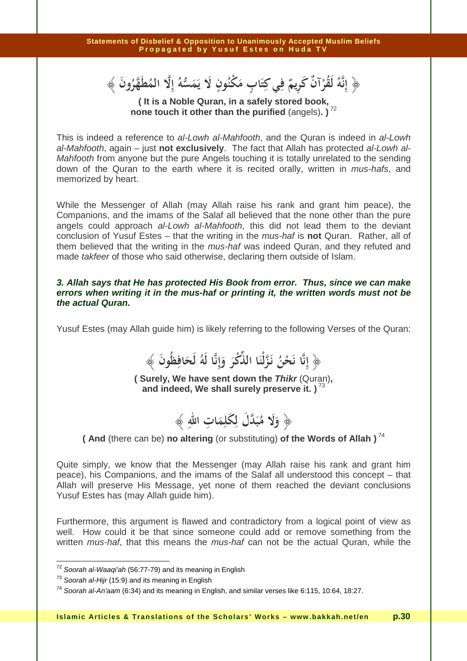﴿ **َ إنه لقرآن كريم في كتاب مكنون لا يمسه إلا المطهرون ُ َ َ ُ َ ٌ ْ ِ ِ ُ َ ُ َ َ َ َ ٍ ُ ْ ٍ** نَّهُ لَقُرْآنٌ كَرِيمٌ فِي كِتَابٍ مَكْنُونٍ لَا يَمَسُّهُ إِلَّا المُطَهَّرُونَ ﴾ **ِ**

**( It is a Noble Quran, in a safely stored book, none touch it other than the purified** (angels)**. )**<sup>72</sup>

This is indeed a reference to al-Lowh al-Mahfooth, and the Quran is indeed in al-Lowh al-Mahfooth, again – just **not exclusively**. The fact that Allah has protected al-Lowh al-Mahfooth from anyone but the pure Angels touching it is totally unrelated to the sending down of the Quran to the earth where it is recited orally, written in mus-hafs, and memorized by heart.

While the Messenger of Allah (may Allah raise his rank and grant him peace), the Companions, and the imams of the Salaf all believed that the none other than the pure angels could approach al-Lowh al-Mahfooth, this did not lead them to the deviant conclusion of Yusuf Estes – that the writing in the mus-haf is **not** Quran. Rather, all of them believed that the writing in the *mus-haf* was indeed Quran, and they refuted and made takfeer of those who said otherwise, declaring them outside of Islam.

### **3. Allah says that He has protected His Book from error. Thus, since we can make errors when writing it in the mus-haf or printing it, the written words must not be the actual Quran.**

Yusuf Estes (may Allah guide him) is likely referring to the following Verses of the Quran:

 ﴿  **ُ َ إنا نحن نـزلْنا الذكر وإنا له لحافظون َ َ ُ ِ ِ ِ َ َ َ ْ** نَحْنُ نَزَّلْنَا اللَّكْرَ وَإِنَّا لَهُ لَحَافِظُونَ ﴾<br>....<del>.</del>

**( Surely, We have sent down the Thikr** (Quran)**, and indeed, We shall surely preserve it. )**<sup>73</sup>



**( And** (there can be) **no altering** (or substituting) **of the Words of Allah )**<sup>74</sup>

Quite simply, we know that the Messenger (may Allah raise his rank and grant him peace), his Companions, and the imams of the Salaf all understood this concept – that Allah will preserve His Message, yet none of them reached the deviant conclusions Yusuf Estes has (may Allah guide him).

Furthermore, this argument is flawed and contradictory from a logical point of view as well. How could it be that since someone could add or remove something from the written *mus-haf*, that this means the *mus-haf* can not be the actual Quran, while the

 $72$  Soorah al-Waaqi'ah (56:77-79) and its meaning in English

 $73$  Soorah al-Hijr (15:9) and its meaning in English

<sup>&</sup>lt;sup>74</sup> Soorah al-An'aam (6:34) and its meaning in English, and similar verses like 6:115, 10:64, 18:27.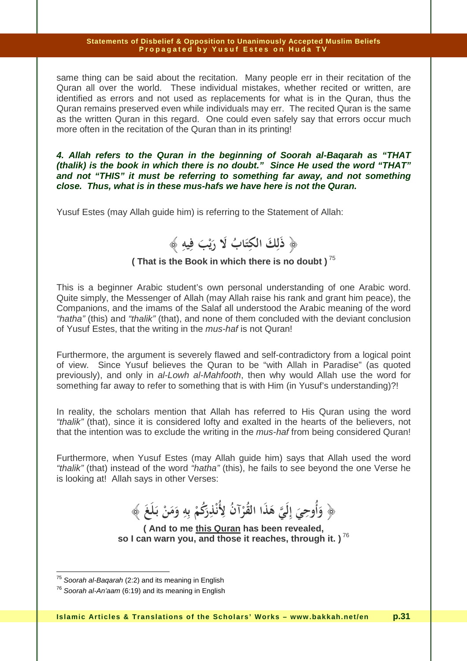same thing can be said about the recitation. Many people err in their recitation of the Quran all over the world. These individual mistakes, whether recited or written, are identified as errors and not used as replacements for what is in the Quran, thus the Quran remains preserved even while individuals may err. The recited Quran is the same as the written Quran in this regard. One could even safely say that errors occur much more often in the recitation of the Quran than in its printing!

**4. Allah refers to the Quran in the beginning of Soorah al-Baqarah as "THAT (thalik) is the book in which there is no doubt." Since He used the word "THAT" and not "THIS" it must be referring to something far away, and not something close. Thus, what is in these mus-hafs we have here is not the Quran.** 

Yusuf Estes (may Allah guide him) is referring to the Statement of Allah:



## **( That is the Book in which there is no doubt )**<sup>75</sup>

This is a beginner Arabic student's own personal understanding of one Arabic word. Quite simply, the Messenger of Allah (may Allah raise his rank and grant him peace), the Companions, and the imams of the Salaf all understood the Arabic meaning of the word "hatha" (this) and "thalik" (that), and none of them concluded with the deviant conclusion of Yusuf Estes, that the writing in the mus-haf is not Quran!

Furthermore, the argument is severely flawed and self-contradictory from a logical point of view. Since Yusuf believes the Quran to be "with Allah in Paradise" (as quoted previously), and only in al-Lowh al-Mahfooth, then why would Allah use the word for something far away to refer to something that is with Him (in Yusuf's understanding)?!

In reality, the scholars mention that Allah has referred to His Quran using the word "thalik" (that), since it is considered lofty and exalted in the hearts of the believers, not that the intention was to exclude the writing in the mus-haf from being considered Quran!

Furthermore, when Yusuf Estes (may Allah guide him) says that Allah used the word "thalik" (that) instead of the word "hatha" (this), he fails to see beyond the one Verse he is looking at! Allah says in other Verses:

 ﴿ **وأوحي إلي هذا القرآن لأنذركم به ومن بـلغ َ َ ْ َ ْ ْ َ َ َ** أُوحِيَ إِلَيَّ هَذَا القُرْآنُ لِأُنْذِرَكُمْ بِهِ وَمَنْ بَلَغَ ﴾ **َ ٔ َ ِ َ ِ**

**( And to me this Quran has been revealed, so I can warn you, and those it reaches, through it. )**<sup>76</sup>

<sup>&</sup>lt;sup>75</sup> Soorah al-Baqarah (2:2) and its meaning in English

 $76$  Soorah al-An'aam (6:19) and its meaning in English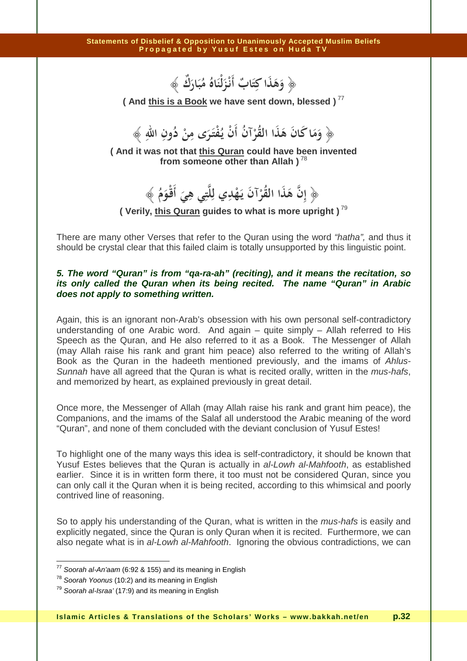﴿ **وهذا كتاب أنـزلْناه م ُ ُ َ َ ٌ َ َ َ ٌ بارك َ َ** ﴾ .<br>أ **َ ِ َ**

**( And this is a Book we have sent down, blessed )**<sup>77</sup>

 ﴿ **وما كان هذا القرآن أن يـفتـرى من دون االله ِ ِ** وَمَا كَانَ هَذَا القَّرْآنُ أَنْ يُفْتَرَى مِنْ دُونِ اللَّهِ ﴾<br>. **ِ** ر<br>. **َ ْ ْ َ**

**( And it was not that this Quran could have been invented from someone other than Allah )**<sup>78</sup>

> ﴿ **إن هذا القرآن يـهدي لل ِ ِ ِ** نَّا هَذَا القُرْآنَ يَهْدِي لِلَّتِي هِيَ أَقْوَمُ ﴾<br>. **َ ْ َ َ**

**( Verily, this Quran guides to what is more upright )**<sup>79</sup>

There are many other Verses that refer to the Quran using the word "hatha", and thus it should be crystal clear that this failed claim is totally unsupported by this linguistic point.

## **5. The word "Quran" is from "qa-ra-ah" (reciting), and it means the recitation, so its only called the Quran when its being recited. The name "Quran" in Arabic does not apply to something written.**

Again, this is an ignorant non-Arab's obsession with his own personal self-contradictory understanding of one Arabic word. And again – quite simply – Allah referred to His Speech as the Quran, and He also referred to it as a Book. The Messenger of Allah (may Allah raise his rank and grant him peace) also referred to the writing of Allah's Book as the Quran in the hadeeth mentioned previously, and the imams of Ahlus-Sunnah have all agreed that the Quran is what is recited orally, written in the *mus-hafs*, and memorized by heart, as explained previously in great detail.

Once more, the Messenger of Allah (may Allah raise his rank and grant him peace), the Companions, and the imams of the Salaf all understood the Arabic meaning of the word "Quran", and none of them concluded with the deviant conclusion of Yusuf Estes!

To highlight one of the many ways this idea is self-contradictory, it should be known that Yusuf Estes believes that the Quran is actually in al-Lowh al-Mahfooth, as established earlier. Since it is in written form there, it too must not be considered Quran, since you can only call it the Quran when it is being recited, according to this whimsical and poorly contrived line of reasoning.

So to apply his understanding of the Quran, what is written in the *mus-hafs* is easily and explicitly negated, since the Quran is only Quran when it is recited. Furthermore, we can also negate what is in al-Lowh al-Mahfooth. Ignoring the obvious contradictions, we can

 $\overline{a}$ 

 $77$  Soorah al-An'aam (6:92 & 155) and its meaning in English

<sup>&</sup>lt;sup>78</sup> Soorah Yoonus (10:2) and its meaning in English

 $79$  Soorah al-Israa' (17:9) and its meaning in English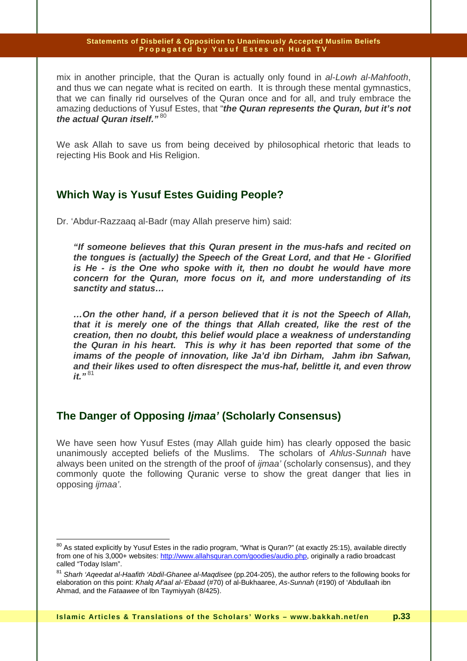mix in another principle, that the Quran is actually only found in al-Lowh al-Mahfooth, and thus we can negate what is recited on earth. It is through these mental gymnastics, that we can finally rid ourselves of the Quran once and for all, and truly embrace the amazing deductions of Yusuf Estes, that "**the Quran represents the Quran, but it's not the actual Quran itself."**<sup>80</sup>

We ask Allah to save us from being deceived by philosophical rhetoric that leads to rejecting His Book and His Religion.

## **Which Way is Yusuf Estes Guiding People?**

Dr. 'Abdur-Razzaaq al-Badr (may Allah preserve him) said:

**"If someone believes that this Quran present in the mus-hafs and recited on the tongues is (actually) the Speech of the Great Lord, and that He - Glorified is He - is the One who spoke with it, then no doubt he would have more concern for the Quran, more focus on it, and more understanding of its sanctity and status…** 

**…On the other hand, if a person believed that it is not the Speech of Allah, that it is merely one of the things that Allah created, like the rest of the creation, then no doubt, this belief would place a weakness of understanding the Quran in his heart. This is why it has been reported that some of the imams of the people of innovation, like Ja'd ibn Dirham, Jahm ibn Safwan, and their likes used to often disrespect the mus-haf, belittle it, and even throw it."**<sup>81</sup>

## **The Danger of Opposing Ijmaa' (Scholarly Consensus)**

 $\overline{a}$ 

We have seen how Yusuf Estes (may Allah guide him) has clearly opposed the basic unanimously accepted beliefs of the Muslims. The scholars of Ahlus-Sunnah have always been united on the strength of the proof of ijmaa' (scholarly consensus), and they commonly quote the following Quranic verse to show the great danger that lies in opposing ijmaa'.

<sup>&</sup>lt;sup>80</sup> As stated explicitly by Yusuf Estes in the radio program, "What is Quran?" (at exactly 25:15), available directly from one of his 3,000+ websites: http://www.allahsquran.com/goodies/audio.php, originally a radio broadcast called "Today Islam".

<sup>&</sup>lt;sup>81</sup> Sharh 'Aqeedat al-Haafith 'Abdil-Ghanee al-Maqdisee (pp.204-205), the author refers to the following books for elaboration on this point: Khalg Af'aal al-'Ebaad (#70) of al-Bukhaaree, As-Sunnah (#190) of 'Abdullaah ibn Ahmad, and the Fataawee of Ibn Taymiyyah (8/425).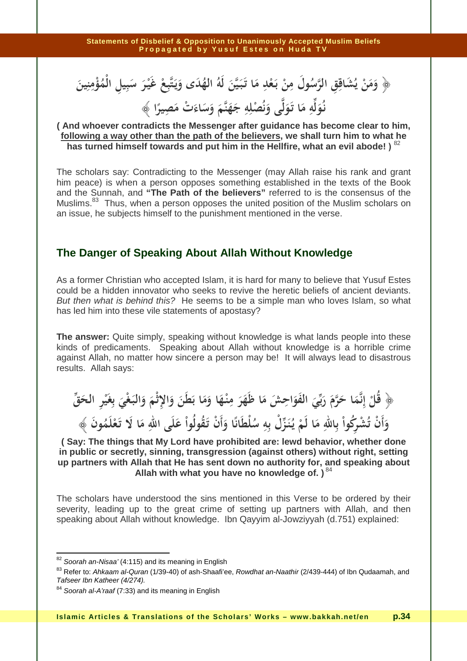﴿ وَمَنْ يُشَاقِقِ الرَّسُولَ مِنْ بَعْدِ مَا تَبَيَّنَ لَهُ الهُدَى وَيَتَّبِعْ غَيْرَ سَبِيلِ الْمُؤْمِنِينَ **َ َ ب ْ ِ َ َ َ َ يا**<br>-**ْ َ َ ِ َ** نُوَلِّهِ مَا تَوَلَّى وَنُصْلِهِ جَهَنَّمَ وَسَاءَتْ مَصِيرًا ﴾<br>. **َ ل ِ َ َ َ ِ َ َ ْ ِ**

#### **َ ً ( And whoever contradicts the Messenger after guidance has become clear to him, following a way other than the path of the believers, we shall turn him to what he has turned himself towards and put him in the Hellfire, what an evil abode! )** <sup>82</sup>

The scholars say: Contradicting to the Messenger (may Allah raise his rank and grant him peace) is when a person opposes something established in the texts of the Book and the Sunnah, and **"The Path of the believers"** referred to is the consensus of the Muslims.<sup>83</sup> Thus, when a person opposes the united position of the Muslim scholars on an issue, he subjects himself to the punishment mentioned in the verse.

## **The Danger of Speaking About Allah Without Knowledge**

As a former Christian who accepted Islam, it is hard for many to believe that Yusuf Estes could be a hidden innovator who seeks to revive the heretic beliefs of ancient deviants. But then what is behind this? He seems to be a simple man who loves Islam, so what has led him into these vile statements of apostasy?

**The answer:** Quite simply, speaking without knowledge is what lands people into these kinds of predicaments. Speaking about Allah without knowledge is a horrible crime against Allah, no matter how sincere a person may be! It will always lead to disastrous results. Allah says:

**﴿ قل إنما حرم ربي الفواحش ما ظهر م ِ ِ** قُلْ إِنَّمَا حَرَّمَ رَبِّيَ الفَوَاحِشَ مَا ظَهَرَ مِنْـهَا وَمَا بَطَنَ وَالإِثْمَ وَالْبَغْيَ بِغَيْرِ الحَقِّ **َ َ َ َ** ِ<br>با **َ ْ ْ ِ َ َ** وَأَنْ تُشْرِكُواْ بِاللّهِ مَا لَمْ يُنَزِّل بِهِ سُلطانَا وَأَنْ تَقُولُواْ عَلَى اللّهِ مَا لَا تَعْلَمُونَ<br>. َّهِ مَا لَمْ يُنَزِّلْ بِهِ سُلْطَانًا وَأَنْ تَقُولُواْ عَلَى الله ِّ أَنْ تُشْرِكُواْ بِاللَّهِ مَا لَمْ يُنَزِّلْ بِهِ سُلطَانًا وَأَنْ تَقُولُواْ عَـَ<br>. .<br>. **ْ** ْ مِرْكُواْ بِاللهِ مَا لَمْ يُنَزِّلْ بِهِ سُلْطَانًا وَأَنْ تَقُولُواْ عَلَى اللهِ مَا لَا تَعْلَمُونَ ﴾

**( Say: The things that My Lord have prohibited are: lewd behavior, whether done in public or secretly, sinning, transgression (against others) without right, setting up partners with Allah that He has sent down no authority for, and speaking about**  Allah with what you have no knowledge of. )<sup>84</sup>

The scholars have understood the sins mentioned in this Verse to be ordered by their severity, leading up to the great crime of setting up partners with Allah, and then speaking about Allah without knowledge. Ibn Qayyim al-Jowziyyah (d.751) explained:

 $\overline{a}$ 

 $82$  Soorah an-Nisaa' (4:115) and its meaning in English

<sup>&</sup>lt;sup>83</sup> Refer to: Ahkaam al-Quran (1/39-40) of ash-Shaafi'ee, Rowdhat an-Naathir (2/439-444) of Ibn Qudaamah, and Tafseer Ibn Katheer (4/274).

<sup>&</sup>lt;sup>84</sup> Soorah al-A'raaf (7:33) and its meaning in English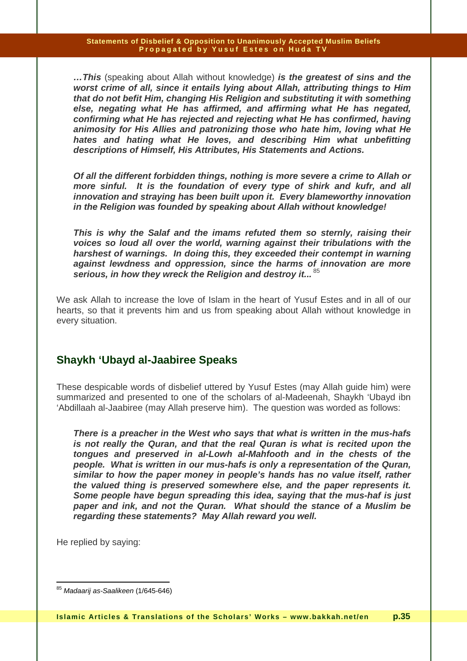**…This** (speaking about Allah without knowledge) **is the greatest of sins and the worst crime of all, since it entails lying about Allah, attributing things to Him that do not befit Him, changing His Religion and substituting it with something else, negating what He has affirmed, and affirming what He has negated, confirming what He has rejected and rejecting what He has confirmed, having animosity for His Allies and patronizing those who hate him, loving what He hates and hating what He loves, and describing Him what unbefitting descriptions of Himself, His Attributes, His Statements and Actions.** 

**Of all the different forbidden things, nothing is more severe a crime to Allah or more sinful. It is the foundation of every type of shirk and kufr, and all innovation and straying has been built upon it. Every blameworthy innovation in the Religion was founded by speaking about Allah without knowledge!** 

**This is why the Salaf and the imams refuted them so sternly, raising their voices so loud all over the world, warning against their tribulations with the harshest of warnings. In doing this, they exceeded their contempt in warning against lewdness and oppression, since the harms of innovation are more**  serious, in how they wreck the Religion and destroy it...<sup>85</sup>

We ask Allah to increase the love of Islam in the heart of Yusuf Estes and in all of our hearts, so that it prevents him and us from speaking about Allah without knowledge in every situation.

## **Shaykh 'Ubayd al-Jaabiree Speaks**

These despicable words of disbelief uttered by Yusuf Estes (may Allah guide him) were summarized and presented to one of the scholars of al-Madeenah, Shaykh 'Ubayd ibn 'Abdillaah al-Jaabiree (may Allah preserve him). The question was worded as follows:

**There is a preacher in the West who says that what is written in the mus-hafs is not really the Quran, and that the real Quran is what is recited upon the tongues and preserved in al-Lowh al-Mahfooth and in the chests of the people. What is written in our mus-hafs is only a representation of the Quran, similar to how the paper money in people's hands has no value itself, rather the valued thing is preserved somewhere else, and the paper represents it. Some people have begun spreading this idea, saying that the mus-haf is just paper and ink, and not the Quran. What should the stance of a Muslim be regarding these statements? May Allah reward you well.** 

He replied by saying:

 $\overline{\phantom{a}}$ <sup>85</sup> Madaarij as-Saalikeen (1/645-646)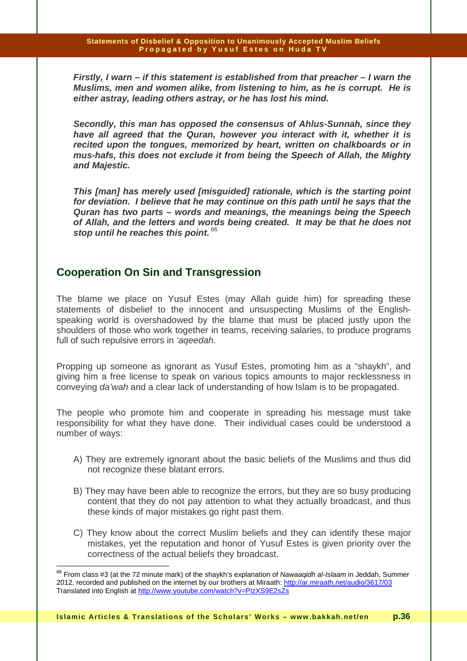**Firstly, I warn – if this statement is established from that preacher – I warn the Muslims, men and women alike, from listening to him, as he is corrupt. He is either astray, leading others astray, or he has lost his mind.** 

**Secondly, this man has opposed the consensus of Ahlus-Sunnah, since they have all agreed that the Quran, however you interact with it, whether it is recited upon the tongues, memorized by heart, written on chalkboards or in mus-hafs, this does not exclude it from being the Speech of Allah, the Mighty and Majestic.** 

**This [man] has merely used [misguided] rationale, which is the starting point for deviation. I believe that he may continue on this path until he says that the Quran has two parts – words and meanings, the meanings being the Speech of Allah, and the letters and words being created. It may be that he does not stop until he reaches this point.**<sup>86</sup>

## **Cooperation On Sin and Transgression**

 $\overline{\phantom{a}}$ 

The blame we place on Yusuf Estes (may Allah guide him) for spreading these statements of disbelief to the innocent and unsuspecting Muslims of the Englishspeaking world is overshadowed by the blame that must be placed justly upon the shoulders of those who work together in teams, receiving salaries, to produce programs full of such repulsive errors in 'ageedah.

Propping up someone as ignorant as Yusuf Estes, promoting him as a "shaykh", and giving him a free license to speak on various topics amounts to major recklessness in conveying da'wah and a clear lack of understanding of how Islam is to be propagated.

The people who promote him and cooperate in spreading his message must take responsibility for what they have done. Their individual cases could be understood a number of ways:

- A) They are extremely ignorant about the basic beliefs of the Muslims and thus did not recognize these blatant errors.
- B) They may have been able to recognize the errors, but they are so busy producing content that they do not pay attention to what they actually broadcast, and thus these kinds of major mistakes go right past them.
- C) They know about the correct Muslim beliefs and they can identify these major mistakes, yet the reputation and honor of Yusuf Estes is given priority over the correctness of the actual beliefs they broadcast.

<sup>&</sup>lt;sup>86</sup> From class #3 (at the 72 minute mark) of the shaykh's explanation of *Nawaaqidh al-Islaam* in Jeddah, Summer 2012, recorded and published on the internet by our brothers at Miraath: http://ar.miraath.net/audio/3617/03 Translated into English at http://www.youtube.com/watch?v=PIzXS9E2sZs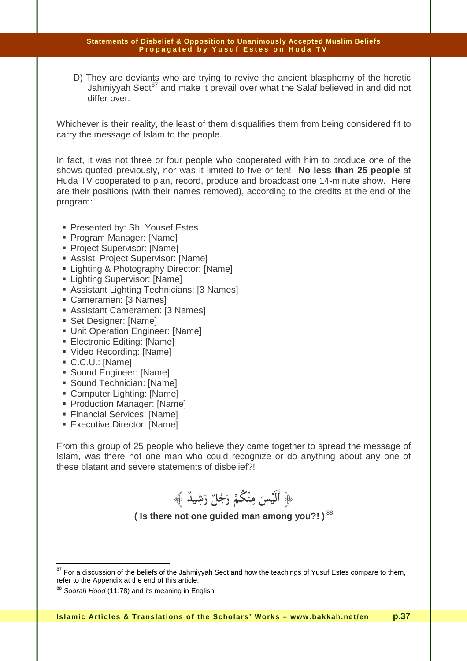D) They are deviants who are trying to revive the ancient blasphemy of the heretic Jahmiyyah Sect<sup>87</sup> and make it prevail over what the Salaf believed in and did not differ over.

Whichever is their reality, the least of them disqualifies them from being considered fit to carry the message of Islam to the people.

In fact, it was not three or four people who cooperated with him to produce one of the shows quoted previously, nor was it limited to five or ten! **No less than 25 people** at Huda TV cooperated to plan, record, produce and broadcast one 14-minute show. Here are their positions (with their names removed), according to the credits at the end of the program:

- Presented by: Sh. Yousef Estes
- Program Manager: [Name]
- **Project Supervisor: [Name]**
- Assist. Project Supervisor: [Name]
- **Example 3 Exercise 2 Photography Director: [Name]**
- **Lighting Supervisor: [Name]**
- **Assistant Lighting Technicians: [3 Names]**
- Cameramen: [3 Names]
- Assistant Cameramen: [3 Names]
- Set Designer: [Name]
- **Unit Operation Engineer: [Name]**
- Electronic Editing: [Name]
- Video Recording: [Name]
- C.C.U.: [Name]

 $\overline{\phantom{a}}$ 

- Sound Engineer: [Name]
- Sound Technician: [Name]
- Computer Lighting: [Name]
- **Production Manager: [Name]**
- Financial Services: [Name]
- **Executive Director: [Name]**

From this group of 25 people who believe they came together to spread the message of Islam, was there not one man who could recognize or do anything about any one of these blatant and severe statements of disbelief?!

**ٌ** ﴿ **أليس منكم رجل رشيد َ َ ْ ٌ ُ ُ ْ** ﴾ **ََ ِ ِ َ ْ**

**( Is there not one guided man among you?! )**<sup>88</sup>

 $87$  For a discussion of the beliefs of the Jahmiyyah Sect and how the teachings of Yusuf Estes compare to them, refer to the Appendix at the end of this article.

<sup>88</sup> Soorah Hood (11:78) and its meaning in English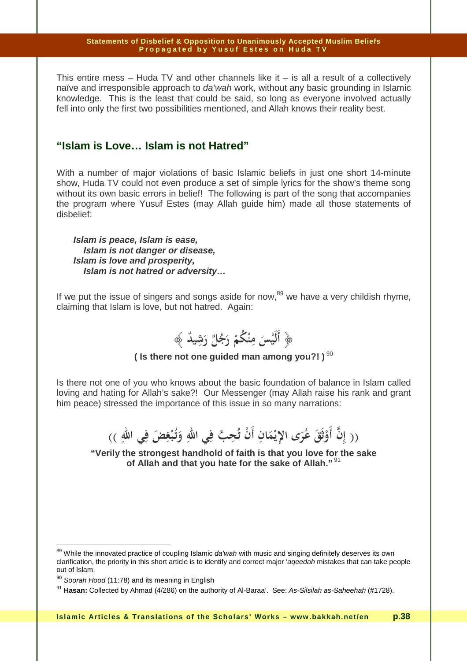This entire mess  $-$  Huda TV and other channels like it  $-$  is all a result of a collectively naïve and irresponsible approach to *da'wah* work, without any basic grounding in Islamic knowledge. This is the least that could be said, so long as everyone involved actually fell into only the first two possibilities mentioned, and Allah knows their reality best.

## **"Islam is Love… Islam is not Hatred"**

With a number of major violations of basic Islamic beliefs in just one short 14-minute show, Huda TV could not even produce a set of simple lyrics for the show's theme song without its own basic errors in belief! The following is part of the song that accompanies the program where Yusuf Estes (may Allah guide him) made all those statements of disbelief:

**Islam is peace, Islam is ease, Islam is not danger or disease, Islam is love and prosperity, Islam is not hatred or adversity…** 

If we put the issue of singers and songs aside for now, $89$  we have a very childish rhyme, claiming that Islam is love, but not hatred. Again:



## **( Is there not one guided man among you?!**)<sup>90</sup>

Is there not one of you who knows about the basic foundation of balance in Islam called loving and hating for Allah's sake?! Our Messenger (may Allah raise his rank and grant him peace) stressed the importance of this issue in so many narrations:

> (( إِنَّ أَوْثَقَ عُرَى الإِيْمَانِ أَنْ تُحِبَّ فِي اللهِ وَتُبْغِضَ فِي اللهِ ))<br>. **ِ ِ ْ ِ َ** <u>ئ</u> **ْ**

**"Verily the strongest handhold of faith is that you love for the sake of Allah and that you hate for the sake of Allah."**<sup>91</sup>

 $\overline{\phantom{a}}$ 

<sup>&</sup>lt;sup>89</sup> While the innovated practice of coupling Islamic *da'wah* with music and singing definitely deserves its own clarification, the priority in this short article is to identify and correct major 'aqeedah mistakes that can take people out of Islam.

 $90$  Soorah Hood (11:78) and its meaning in English

<sup>91</sup> **Hasan:** Collected by Ahmad (4/286) on the authority of Al-Baraa'. See: As-Silsilah as-Saheehah (#1728).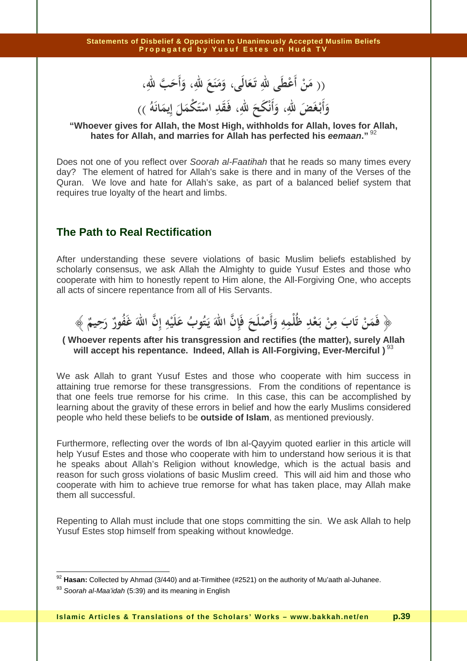(( مَنْ أَعْطَى للهِ تَعَالَى، وَمَنَعَ للهِ، وَأَحَبَّ للهِ، **َ َ َ**

#### **َ َ ُ وأبـغض الله، وأنكح الله، فـقد استكمل إيمانه َ َ َ َ ََ ِ ِ َ ْ َ َ َ َ ْ (( ِ َ ْ ْ ِ َ**

## **"Whoever gives for Allah, the Most High, withholds for Allah, loves for Allah, hates for Allah, and marries for Allah has perfected his eemaan."**<sup>92</sup>

Does not one of you reflect over Soorah al-Faatihah that he reads so many times every day? The element of hatred for Allah's sake is there and in many of the Verses of the Quran. We love and hate for Allah's sake, as part of a balanced belief system that requires true loyalty of the heart and limbs.

## **The Path to Real Rectification**

After understanding these severe violations of basic Muslim beliefs established by scholarly consensus, we ask Allah the Almighty to guide Yusuf Estes and those who cooperate with him to honestly repent to Him alone, the All-Forgiving One, who accepts all acts of sincere repentance from all of His Servants.

#### ﴿ فَمَنْ تَابَ مِنْ بَعْدِ ظُلْمِهِ وَأَصْلَحَ فَإِنَّ اللَّهَ يَتُوبُ عَلَيْهِ إِنَّ اللَّهَ غَفُورٌ رَحِيمٌ ﴾<br>.. **ْ َ ِ ْ ِ َ ِ َ**

### **( Whoever repents after his transgression and rectifies (the matter), surely Allah**  will accept his repentance. Indeed, Allah is All-Forgiving, Ever-Merciful )<sup>93</sup>

We ask Allah to grant Yusuf Estes and those who cooperate with him success in attaining true remorse for these transgressions. From the conditions of repentance is that one feels true remorse for his crime. In this case, this can be accomplished by learning about the gravity of these errors in belief and how the early Muslims considered people who held these beliefs to be **outside of Islam**, as mentioned previously.

Furthermore, reflecting over the words of Ibn al-Qayyim quoted earlier in this article will help Yusuf Estes and those who cooperate with him to understand how serious it is that he speaks about Allah's Religion without knowledge, which is the actual basis and reason for such gross violations of basic Muslim creed. This will aid him and those who cooperate with him to achieve true remorse for what has taken place, may Allah make them all successful.

Repenting to Allah must include that one stops committing the sin. We ask Allah to help Yusuf Estes stop himself from speaking without knowledge.

 $\overline{\phantom{a}}$ 

<sup>92</sup> **Hasan:** Collected by Ahmad (3/440) and at-Tirmithee (#2521) on the authority of Mu'aath al-Juhanee.

 $93$  Soorah al-Maa'idah (5:39) and its meaning in English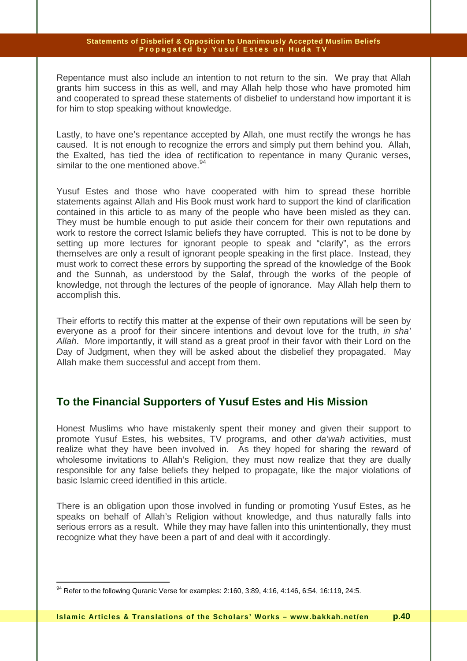Repentance must also include an intention to not return to the sin. We pray that Allah grants him success in this as well, and may Allah help those who have promoted him and cooperated to spread these statements of disbelief to understand how important it is for him to stop speaking without knowledge.

Lastly, to have one's repentance accepted by Allah, one must rectify the wrongs he has caused. It is not enough to recognize the errors and simply put them behind you. Allah, the Exalted, has tied the idea of rectification to repentance in many Quranic verses, similar to the one mentioned above.<sup>94</sup>

Yusuf Estes and those who have cooperated with him to spread these horrible statements against Allah and His Book must work hard to support the kind of clarification contained in this article to as many of the people who have been misled as they can. They must be humble enough to put aside their concern for their own reputations and work to restore the correct Islamic beliefs they have corrupted. This is not to be done by setting up more lectures for ignorant people to speak and "clarify", as the errors themselves are only a result of ignorant people speaking in the first place. Instead, they must work to correct these errors by supporting the spread of the knowledge of the Book and the Sunnah, as understood by the Salaf, through the works of the people of knowledge, not through the lectures of the people of ignorance. May Allah help them to accomplish this.

Their efforts to rectify this matter at the expense of their own reputations will be seen by everyone as a proof for their sincere intentions and devout love for the truth, in sha' Allah. More importantly, it will stand as a great proof in their favor with their Lord on the Day of Judgment, when they will be asked about the disbelief they propagated. May Allah make them successful and accept from them.

## **To the Financial Supporters of Yusuf Estes and His Mission**

Honest Muslims who have mistakenly spent their money and given their support to promote Yusuf Estes, his websites, TV programs, and other da'wah activities, must realize what they have been involved in. As they hoped for sharing the reward of wholesome invitations to Allah's Religion, they must now realize that they are dually responsible for any false beliefs they helped to propagate, like the major violations of basic Islamic creed identified in this article.

There is an obligation upon those involved in funding or promoting Yusuf Estes, as he speaks on behalf of Allah's Religion without knowledge, and thus naturally falls into serious errors as a result. While they may have fallen into this unintentionally, they must recognize what they have been a part of and deal with it accordingly.

 $\overline{a}$  $94$  Refer to the following Quranic Verse for examples: 2:160, 3:89, 4:16, 4:146, 6:54, 16:119, 24:5.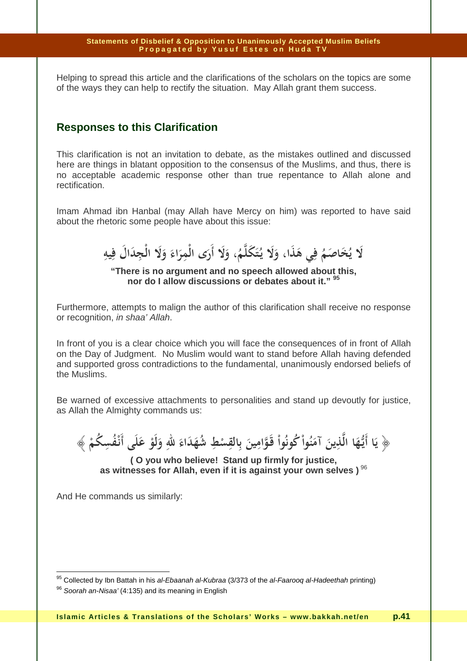Helping to spread this article and the clarifications of the scholars on the topics are some of the ways they can help to rectify the situation. May Allah grant them success.

## **Responses to this Clarification**

This clarification is not an invitation to debate, as the mistakes outlined and discussed here are things in blatant opposition to the consensus of the Muslims, and thus, there is no acceptable academic response other than true repentance to Allah alone and rectification.

Imam Ahmad ibn Hanbal (may Allah have Mercy on him) was reported to have said about the rhetoric some people have about this issue:

**َلا ي ُ اصم َخ ُ َي ه ِ ف َذ ،ا و َلا يـ ُ َك ت م َل َ َ ُ ِ ِ ، ولا أرى الْمراء ولا الْجدال فيه َ َ َ َ َ َ َ َ َ َ ِ ِ**

**"There is no argument and no speech allowed about this, nor do I allow discussions or debates about it." <sup>95</sup>**

Furthermore, attempts to malign the author of this clarification shall receive no response or recognition, in shaa' Allah.

In front of you is a clear choice which you will face the consequences of in front of Allah on the Day of Judgment. No Muslim would want to stand before Allah having defended and supported gross contradictions to the fundamental, unanimously endorsed beliefs of the Muslims.

Be warned of excessive attachments to personalities and stand up devoutly for justice, as Allah the Almighty commands us:

**َ ْ** ﴿ **يا أيـها الذين آمنوا كونوا قـوامين بالقسط شهداء الله ولو على أنـفسكم ُ ِ ِ ِ ُ ْ ْ ْ َ َ َ َ ُ ْ َ َ َ ُ ْ َ َ َ ِ َ ِ** يَا أَيُّهَا الَّذِينَ آمَنُواْ كُونُواْ قَوَّامِينَ بِالقِسْطِ شُهَدَاءَ للهِ وَلَوْ عَلَى أَنْفُسِكُمْ ﴾

**( O you who believe! Stand up firmly for justice, as witnesses for Allah, even if it is against your own selves )**<sup>96</sup>

And He commands us similarly:

 $95$  Collected by Ibn Battah in his *al-Ebaanah al-Kubraa* (3/373 of the *al-Faarooq al-Hadeethah* printing)

<sup>&</sup>lt;sup>96</sup> Soorah an-Nisaa' (4:135) and its meaning in English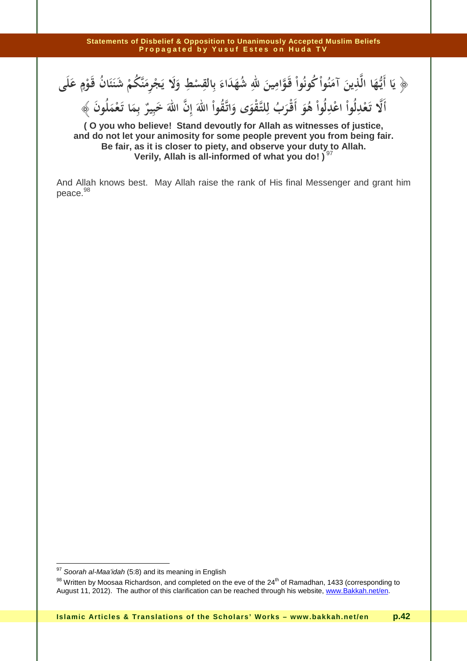﴿ يَا أَيُّهَا الَّذِينَ آمَنُواْ كُونُواْ قَوَّامِينَ للَّهِ شُهَدَاءَ بِالْقِسْطِ وَلَا يَجْرِمَنَّكُمْ شَنَئَانُ قَوْمٍ عَلَى **ٍ ْ ْ** لِّدِينَ آمَنُواْ كُونُواْ قَوَّامِينَ للهِ شُهَ*دَ*اءَ بِالقِ **َ** ها اللَّاينُ آمَنُوا كُونُوا فَوَامِينُ لَلَّهِ شَهْلُا أَيُّهَا الَّذِينَ آمَنُواْ كُونُواْ قَوَّامِينَ للهِ

**ُ َ ألا تـعدلوا اعدلوا هو أقـرب للتـقوى واتـقوا االله إن االله خبير بما تـعملون َ َ ٌ َ ْ ُ ْ َ َ ِ َِ َ َ ُ ِ ْ ْ ْ ُ َ َ ْ ْ ُ ُ َ َ ِ ِ ْ** ﴾ **ِ َ**

**( O you who believe! Stand devoutly for Allah as witnesses of justice, and do not let your animosity for some people prevent you from being fair. Be fair, as it is closer to piety, and observe your duty to Allah. Verily, Allah is all-informed of what you do!**)<sup>9</sup>

And Allah knows best. May Allah raise the rank of His final Messenger and grant him peace. 98

 $\overline{\phantom{a}}$ 

 $97$  Soorah al-Maa'idah (5:8) and its meaning in English

<sup>98</sup> Written by Moosaa Richardson, and completed on the eve of the 24<sup>th</sup> of Ramadhan, 1433 (corresponding to August 11, 2012). The author of this clarification can be reached through his website, www.Bakkah.net/en.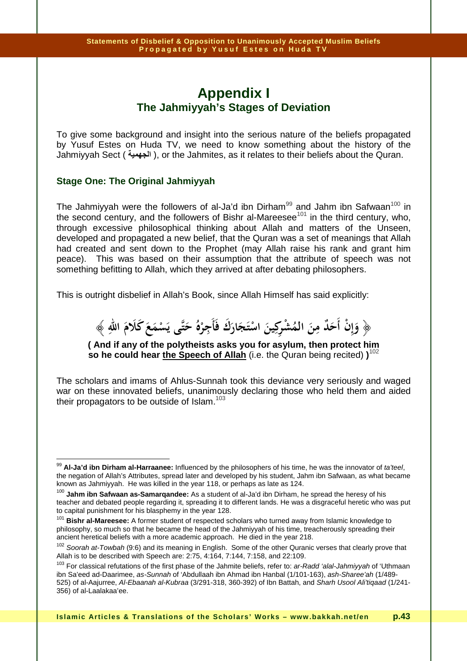# **Appendix I The Jahmiyyah's Stages of Deviation**

To give some background and insight into the serious nature of the beliefs propagated by Yusuf Estes on Huda TV, we need to know something about the history of the Jahmiyyah Sect ( **ا**( , or the Jahmites, as it relates to their beliefs about the Quran.

## **Stage One: The Original Jahmiyyah**

The Jahmiyyah were the followers of al-Ja'd ibn Dirham $^{99}$  and Jahm ibn Safwaan $^{100}$  in the second century, and the followers of Bishr al-Mareesee<sup>101</sup> in the third century, who, through excessive philosophical thinking about Allah and matters of the Unseen, developed and propagated a new belief, that the Quran was a set of meanings that Allah had created and sent down to the Prophet (may Allah raise his rank and grant him peace). This was based on their assumption that the attribute of speech was not something befitting to Allah, which they arrived at after debating philosophers.

This is outright disbelief in Allah's Book, since Allah Himself has said explicitly:



**( And if any of the polytheists asks you for asylum, then protect him so he could hear the Speech of Allah** (i.e. the Quran being recited) **)**<sup>102</sup>

The scholars and imams of Ahlus-Sunnah took this deviance very seriously and waged war on these innovated beliefs, unanimously declaring those who held them and aided their propagators to be outside of Islam.<sup>103</sup>

 $\overline{\phantom{a}}$ <sup>99</sup> Al-Ja'd ibn Dirham al-Harraanee: Influenced by the philosophers of his time, he was the innovator of *ta'teel*, the negation of Allah's Attributes, spread later and developed by his student, Jahm ibn Safwaan, as what became known as Jahmiyyah. He was killed in the year 118, or perhaps as late as 124.

<sup>100</sup> **Jahm ibn Safwaan as-Samarqandee:** As a student of al-Ja'd ibn Dirham, he spread the heresy of his teacher and debated people regarding it, spreading it to different lands. He was a disgraceful heretic who was put to capital punishment for his blasphemy in the year 128.

<sup>101</sup> **Bishr al-Mareesee:** A former student of respected scholars who turned away from Islamic knowledge to philosophy, so much so that he became the head of the Jahmiyyah of his time, treacherously spreading their ancient heretical beliefs with a more academic approach. He died in the year 218.

<sup>&</sup>lt;sup>102</sup> Soorah at-Towbah (9:6) and its meaning in English. Some of the other Quranic verses that clearly prove that Allah is to be described with Speech are: 2:75, 4:164, 7:144, 7:158, and 22:109.

<sup>&</sup>lt;sup>103</sup> For classical refutations of the first phase of the Jahmite beliefs, refer to: ar-Radd 'alal-Jahmiyyah of 'Uthmaan ibn Sa'eed ad-Daarimee, as-Sunnah of 'Abdullaah ibn Ahmad ibn Hanbal (1/101-163), ash-Sharee'ah (1/489-525) of al-Aajurree, Al-Ebaanah al-Kubraa (3/291-318, 360-392) of Ibn Battah, and Sharh Usool Ali'tiqaad (1/241- 356) of al-Laalakaa'ee.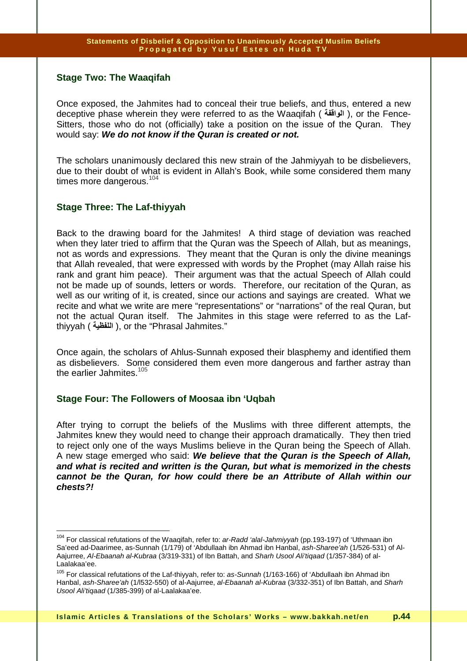## **Stage Two: The Waaqifah**

Once exposed, the Jahmites had to conceal their true beliefs, and thus, entered a new deceptive phase wherein they were referred to as the Waaqifah ( الواقفة ), or the Fence-Sitters, those who do not (officially) take a position on the issue of the Quran. They would say: **We do not know if the Quran is created or not.** 

The scholars unanimously declared this new strain of the Jahmiyyah to be disbelievers, due to their doubt of what is evident in Allah's Book, while some considered them many times more dangerous.<sup>104</sup>

## **Stage Three: The Laf-thiyyah**

 $\overline{a}$ 

Back to the drawing board for the Jahmites! A third stage of deviation was reached when they later tried to affirm that the Quran was the Speech of Allah, but as meanings, not as words and expressions. They meant that the Quran is only the divine meanings that Allah revealed, that were expressed with words by the Prophet (may Allah raise his rank and grant him peace). Their argument was that the actual Speech of Allah could not be made up of sounds, letters or words. Therefore, our recitation of the Quran, as well as our writing of it, is created, since our actions and sayings are created. What we recite and what we write are mere "representations" or "narrations" of the real Quran, but not the actual Quran itself. The Jahmites in this stage were referred to as the Lafthiyyah ( ا**للفظية )**, or the "Phrasal Jahmites."

Once again, the scholars of Ahlus-Sunnah exposed their blasphemy and identified them as disbelievers. Some considered them even more dangerous and farther astray than the earlier Jahmites. $105$ 

## **Stage Four: The Followers of Moosaa ibn 'Uqbah**

After trying to corrupt the beliefs of the Muslims with three different attempts, the Jahmites knew they would need to change their approach dramatically. They then tried to reject only one of the ways Muslims believe in the Quran being the Speech of Allah. A new stage emerged who said: **We believe that the Quran is the Speech of Allah, and what is recited and written is the Quran, but what is memorized in the chests cannot be the Quran, for how could there be an Attribute of Allah within our chests?!**

<sup>&</sup>lt;sup>104</sup> For classical refutations of the Waaqifah, refer to: ar-Radd 'alal-Jahmiyyah (pp.193-197) of 'Uthmaan ibn Sa'eed ad-Daarimee, as-Sunnah (1/179) of 'Abdullaah ibn Ahmad ibn Hanbal, ash-Sharee'ah (1/526-531) of Al-Aajurree, Al-Ebaanah al-Kubraa (3/319-331) of Ibn Battah, and Sharh Usool Ali'tiqaad (1/357-384) of al-Laalakaa'ee.

<sup>&</sup>lt;sup>105</sup> For classical refutations of the Laf-thiyyah, refer to: as-Sunnah (1/163-166) of 'Abdullaah ibn Ahmad ibn Hanbal, ash-Sharee'ah (1/l532-550) of al-Aajurree, al-Ebaanah al-Kubraa (3/332-351) of Ibn Battah, and Sharh Usool Ali'tiqaad (1/385-399) of al-Laalakaa'ee.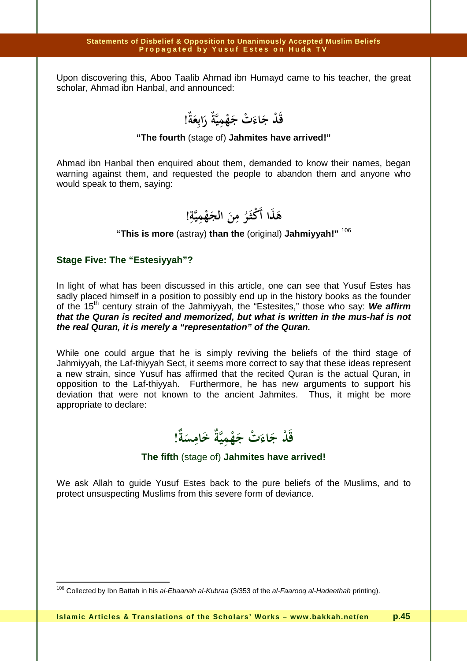Upon discovering this, Aboo Taalib Ahmad ibn Humayd came to his teacher, the great scholar, Ahmad ibn Hanbal, and announced:

قَدْ جَاءَتْ جَهْمِيَّةُ رَابِعَةً!<br>· **َ ِ َ ِ ْ َ**

### **"The fourth** (stage of) **Jahmites have arrived!"**

Ahmad ibn Hanbal then enquired about them, demanded to know their names, began warning against them, and requested the people to abandon them and anyone who would speak to them, saying:

**ِ هذا أكثـر من الجهمية ْ ْ َ َ ُ َ َ ! ِ ِ َ َ**

## **"This is more** (astray) **than the** (original) **Jahmiyyah!"** <sup>106</sup>

### **Stage Five: The "Estesiyyah"?**

 $\overline{1}$ 

In light of what has been discussed in this article, one can see that Yusuf Estes has sadly placed himself in a position to possibly end up in the history books as the founder of the 15<sup>th</sup> century strain of the Jahmiyyah, the "Estesites," those who say: We affirm **that the Quran is recited and memorized, but what is written in the mus-haf is not the real Quran, it is merely a "representation" of the Quran.** 

While one could argue that he is simply reviving the beliefs of the third stage of Jahmiyyah, the Laf-thiyyah Sect, it seems more correct to say that these ideas represent a new strain, since Yusuf has affirmed that the recited Quran is the actual Quran, in opposition to the Laf-thiyyah. Furthermore, he has new arguments to support his deviation that were not known to the ancient Jahmites. Thus, it might be more appropriate to declare:

قَدْ جَاءَتْ جَهْمِيَّةْ خَامِسَةً!<br>· **َ ِ َ ِ ْ َ ْ**

### **The fifth** (stage of) **Jahmites have arrived!**

We ask Allah to guide Yusuf Estes back to the pure beliefs of the Muslims, and to protect unsuspecting Muslims from this severe form of deviance.

<sup>&</sup>lt;sup>106</sup> Collected by Ibn Battah in his al-Ebaanah al-Kubraa (3/353 of the al-Faarooq al-Hadeethah printing).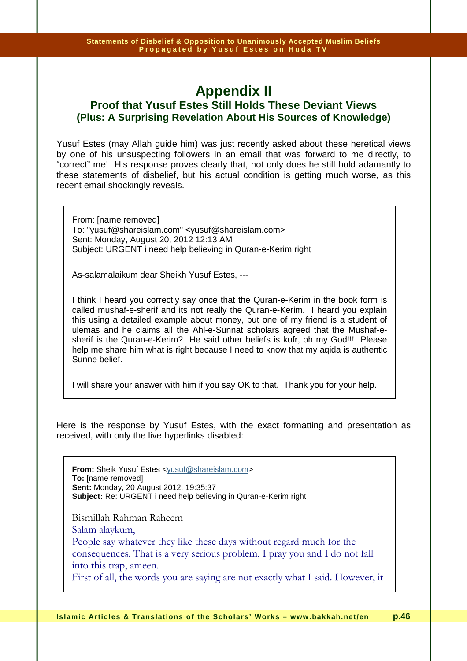## **Appendix II Proof that Yusuf Estes Still Holds These Deviant Views (Plus: A Surprising Revelation About His Sources of Knowledge)**

Yusuf Estes (may Allah guide him) was just recently asked about these heretical views by one of his unsuspecting followers in an email that was forward to me directly, to "correct" me! His response proves clearly that, not only does he still hold adamantly to these statements of disbelief, but his actual condition is getting much worse, as this recent email shockingly reveals.

From: [name removed] To: "yusuf@shareislam.com" <yusuf@shareislam.com> Sent: Monday, August 20, 2012 12:13 AM Subject: URGENT i need help believing in Quran-e-Kerim right

As-salamalaikum dear Sheikh Yusuf Estes, ---

I think I heard you correctly say once that the Quran-e-Kerim in the book form is called mushaf-e-sherif and its not really the Quran-e-Kerim. I heard you explain this using a detailed example about money, but one of my friend is a student of ulemas and he claims all the Ahl-e-Sunnat scholars agreed that the Mushaf-esherif is the Quran-e-Kerim? He said other beliefs is kufr, oh my God!!! Please help me share him what is right because I need to know that my aqida is authentic Sunne belief.

I will share your answer with him if you say OK to that. Thank you for your help.

Here is the response by Yusuf Estes, with the exact formatting and presentation as received, with only the live hyperlinks disabled:

**From:** Sheik Yusuf Estes <yusuf@shareislam.com> **To:** [name removed] **Sent:** Monday, 20 August 2012, 19:35:37 **Subject:** Re: URGENT i need help believing in Quran-e-Kerim right

Bismillah Rahman Raheem Salam alaykum, People say whatever they like these days without regard much for the consequences. That is a very serious problem, I pray you and I do not fall into this trap, ameen.

First of all, the words you are saying are not exactly what I said. However, it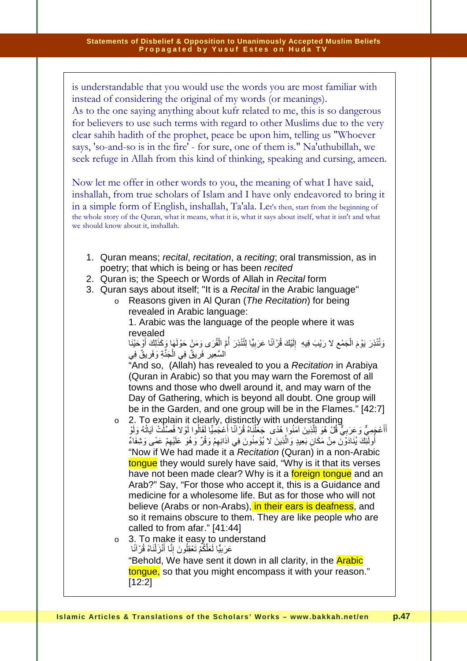is understandable that you would use the words you are most familiar with instead of considering the original of my words (or meanings). As to the one saying anything about kufr related to me, this is so dangerous for believers to use such terms with regard to other Muslims due to the very clear sahih hadith of the prophet, peace be upon him, telling us "Whoever says, 'so-and-so is in the fire' - for sure, one of them is." Na'uthubillah, we seek refuge in Allah from this kind of thinking, speaking and cursing, ameen.

Now let me offer in other words to you, the meaning of what I have said, inshallah, from true scholars of Islam and I have only endeavored to bring it in a simple form of English, inshallah, Ta'ala. Let's then, start from the beginning of the whole story of the Quran, what it means, what it is, what it says about itself, what it isn't and what we should know about it, inshallah.

- 1. Quran means; recital, recitation, a reciting; oral transmission, as in poetry; that which is being or has been recited
- 2. Quran is; the Speech or Words of Allah in Recital form
- 3. Quran says about itself; "It is a Recital in the Arabic language"
	- $\circ$  Reasons given in Al Quran (The Recitation) for being revealed in Arabic language:

1. Arabic was the language of the people where it was revealed

وَتُنْذِرَ يَوْمَ الْجَمْعِ لا رَيْبَ فِيهِ ۚ إِلَيْكَ قُرْآنًا عَرَبِيًّا لِتُنْذِرَ أُمَّ الْقُرَى وَمَنْ حَوْلَهَا وَكَذَلِكَ أَوْجَيْنَا َ ِ َ ة اُ ِ ْ ۔<br>م ْالسَّعِيرِ فَرِيقٌ فِي الْجَنَّةِ وَفَرِيقٌ فِي ; ِ **∶** اً<br>ا **∶** ِ

"And so, (Allah) has revealed to you a Recitation in Arabiya (Quran in Arabic) so that you may warn the Foremost of all towns and those who dwell around it, and may warn of the Day of Gathering, which is beyond all doubt. One group will be in the Garden, and one group will be in the Flames." [42:7]

- o 2. To explain it clearly, distinctly with understanding أَأَعْجَمِيٌّ وَعَرَبِيٌّ قُلْ هُوَ لِلَّذِينَ آمَنُوا ِهُدًى ۖ جَعَلْنَاهُ قُرْآنًا أَعْجَمِيًّا لَقَالُوا لَوْلا فُصِّلَٰتْ آيَاتُهُ وَلَوْ َ **: المستقط** ِ ֚֚֚֚֚֚֚֚֚֚֚֚֚֚֚֚֚֚֡֡֡֡֡֡֡֡֡֡֝֬֝֬֝֬֝֬֝֬֝֓֬ ُ **∶** <u>ٔ</u> أُولَٰٓئِكَ يُنَادَوْنَ مِنْ مَكَانِ بَعِيدٍ وَالَّذِينَ لا يُؤْمِنُونَ فِي آذَانِهِمْ وَقُرٌ وَهُوَ عَلَيْهِمْ عَمًى وَشِفَاءٌ **ٔ**  $\ddot{\phantom{0}}$ َ "Now if We had made it a Recitation (Quran) in a non-Arabic tongue they would surely have said, "Why is it that its verses have not been made clear? Why is it a **foreign tongue** and an Arab?" Say, "For those who accept it, this is a Guidance and medicine for a wholesome life. But as for those who will not believe (Arabs or non-Arabs), in their ears is deafness, and so it remains obscure to them. They are like people who are called to from afar." [41:44]
- 3. To make it easy to understand عَرَبِيًّا لَعَلَّكُمْ تَعْقِلُونَ إِنَّا أَنْزَلْنَاهُ قُرْآنَا ْ ا<br>أم ا<br>ا ْ

 ِ ِ "Behold, We have sent it down in all clarity, in the **Arabic** tongue, so that you might encompass it with your reason." [12:2]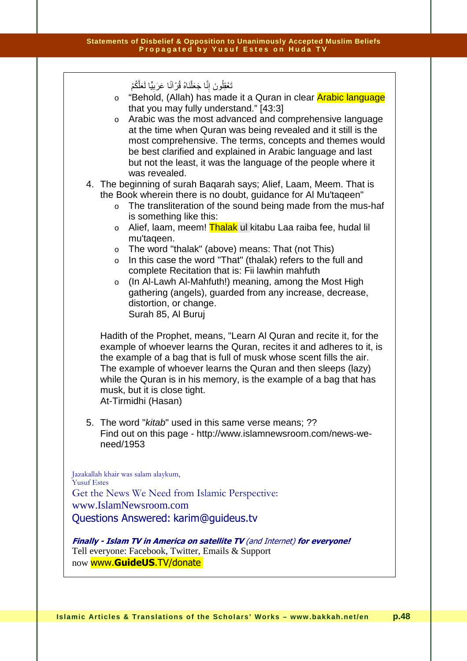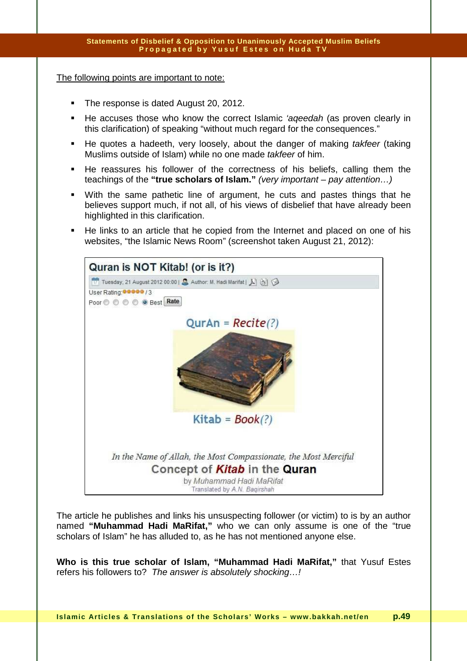The following points are important to note:

- The response is dated August 20, 2012.
- He accuses those who know the correct Islamic *'ageedah* (as proven clearly in this clarification) of speaking "without much regard for the consequences."
- He quotes a hadeeth, very loosely, about the danger of making takfeer (taking Muslims outside of Islam) while no one made takfeer of him.
- He reassures his follower of the correctness of his beliefs, calling them the teachings of the **"true scholars of Islam."** (very important – pay attention…)
- With the same pathetic line of argument, he cuts and pastes things that he believes support much, if not all, of his views of disbelief that have already been highlighted in this clarification.
- He links to an article that he copied from the Internet and placed on one of his websites, "the Islamic News Room" (screenshot taken August 21, 2012):



The article he publishes and links his unsuspecting follower (or victim) to is by an author named **"Muhammad Hadi MaRifat,"** who we can only assume is one of the "true scholars of Islam" he has alluded to, as he has not mentioned anyone else.

**Who is this true scholar of Islam, "Muhammad Hadi MaRifat,"** that Yusuf Estes refers his followers to? The answer is absolutely shocking…!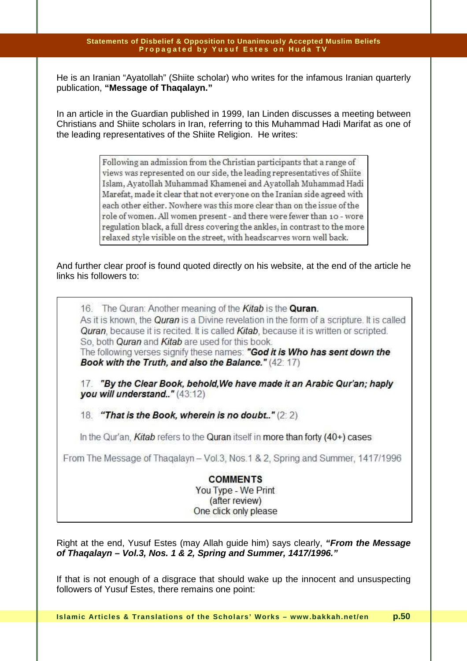He is an Iranian "Ayatollah" (Shiite scholar) who writes for the infamous Iranian quarterly publication, **"Message of Thaqalayn."** 

In an article in the Guardian published in 1999, Ian Linden discusses a meeting between Christians and Shiite scholars in Iran, referring to this Muhammad Hadi Marifat as one of the leading representatives of the Shiite Religion. He writes:

> Following an admission from the Christian participants that a range of views was represented on our side, the leading representatives of Shiite Islam, Ayatollah Muhammad Khamenei and Ayatollah Muhammad Hadi Marefat, made it clear that not everyone on the Iranian side agreed with each other either. Nowhere was this more clear than on the issue of the role of women. All women present - and there were fewer than 10 - wore regulation black, a full dress covering the ankles, in contrast to the more relaxed style visible on the street, with headscarves worn well back.

And further clear proof is found quoted directly on his website, at the end of the article he links his followers to:

16. The Quran: Another meaning of the Kitab is the Quran. As it is known, the Quran is a Divine revelation in the form of a scripture. It is called Quran, because it is recited. It is called Kitab, because it is written or scripted. So, both Ouran and Kitab are used for this book.

The following verses signify these names: "God it is Who has sent down the Book with the Truth, and also the Balance." (42:17)

17. "By the Clear Book, behold. We have made it an Arabic Qur'an; haply you will understand.." (43:12)

18. "That is the Book, wherein is no doubt.." (2:2)

In the Qur'an, Kitab refers to the Quran itself in more than forty (40+) cases

From The Message of Thagalayn - Vol.3, Nos.1 & 2, Spring and Summer, 1417/1996

**COMMENTS** You Type - We Print (after review) One click only please

Right at the end, Yusuf Estes (may Allah guide him) says clearly, **"From the Message of Thaqalayn – Vol.3, Nos. 1 & 2, Spring and Summer, 1417/1996."**

If that is not enough of a disgrace that should wake up the innocent and unsuspecting followers of Yusuf Estes, there remains one point: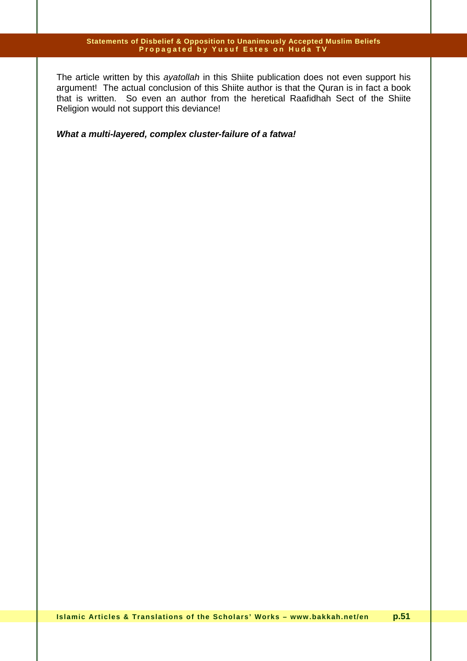The article written by this ayatollah in this Shiite publication does not even support his argument! The actual conclusion of this Shiite author is that the Quran is in fact a book that is written. So even an author from the heretical Raafidhah Sect of the Shiite Religion would not support this deviance!

**What a multi-layered, complex cluster-failure of a fatwa!**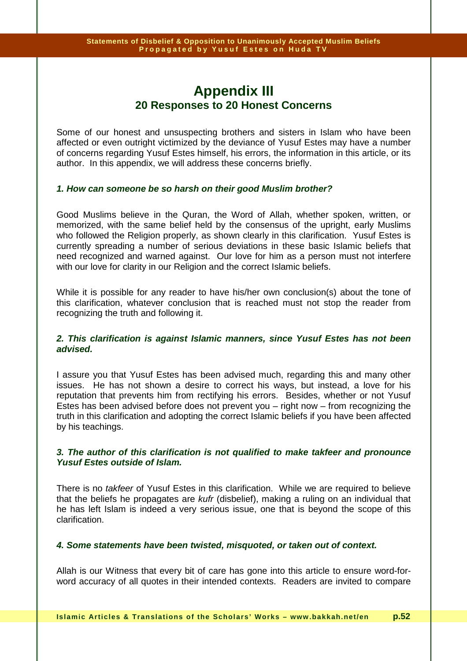## **Appendix III 20 Responses to 20 Honest Concerns**

Some of our honest and unsuspecting brothers and sisters in Islam who have been affected or even outright victimized by the deviance of Yusuf Estes may have a number of concerns regarding Yusuf Estes himself, his errors, the information in this article, or its author. In this appendix, we will address these concerns briefly.

## **1. How can someone be so harsh on their good Muslim brother?**

Good Muslims believe in the Quran, the Word of Allah, whether spoken, written, or memorized, with the same belief held by the consensus of the upright, early Muslims who followed the Religion properly, as shown clearly in this clarification. Yusuf Estes is currently spreading a number of serious deviations in these basic Islamic beliefs that need recognized and warned against. Our love for him as a person must not interfere with our love for clarity in our Religion and the correct Islamic beliefs.

While it is possible for any reader to have his/her own conclusion(s) about the tone of this clarification, whatever conclusion that is reached must not stop the reader from recognizing the truth and following it.

### **2. This clarification is against Islamic manners, since Yusuf Estes has not been advised.**

I assure you that Yusuf Estes has been advised much, regarding this and many other issues. He has not shown a desire to correct his ways, but instead, a love for his reputation that prevents him from rectifying his errors. Besides, whether or not Yusuf Estes has been advised before does not prevent you – right now – from recognizing the truth in this clarification and adopting the correct Islamic beliefs if you have been affected by his teachings.

### **3. The author of this clarification is not qualified to make takfeer and pronounce Yusuf Estes outside of Islam.**

There is no *takfeer* of Yusuf Estes in this clarification. While we are required to believe that the beliefs he propagates are kufr (disbelief), making a ruling on an individual that he has left Islam is indeed a very serious issue, one that is beyond the scope of this clarification.

### **4. Some statements have been twisted, misquoted, or taken out of context.**

Allah is our Witness that every bit of care has gone into this article to ensure word-forword accuracy of all quotes in their intended contexts. Readers are invited to compare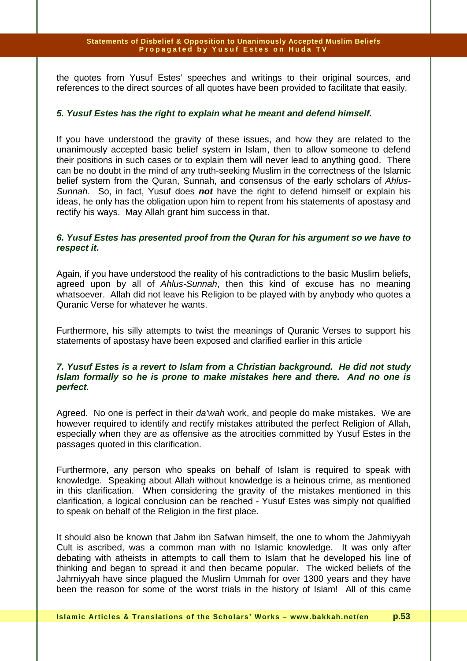the quotes from Yusuf Estes' speeches and writings to their original sources, and references to the direct sources of all quotes have been provided to facilitate that easily.

### **5. Yusuf Estes has the right to explain what he meant and defend himself.**

If you have understood the gravity of these issues, and how they are related to the unanimously accepted basic belief system in Islam, then to allow someone to defend their positions in such cases or to explain them will never lead to anything good. There can be no doubt in the mind of any truth-seeking Muslim in the correctness of the Islamic belief system from the Quran, Sunnah, and consensus of the early scholars of Ahlus-Sunnah. So, in fact, Yusuf does **not** have the right to defend himself or explain his ideas, he only has the obligation upon him to repent from his statements of apostasy and rectify his ways. May Allah grant him success in that.

## **6. Yusuf Estes has presented proof from the Quran for his argument so we have to respect it.**

Again, if you have understood the reality of his contradictions to the basic Muslim beliefs, agreed upon by all of Ahlus-Sunnah, then this kind of excuse has no meaning whatsoever. Allah did not leave his Religion to be played with by anybody who quotes a Quranic Verse for whatever he wants.

Furthermore, his silly attempts to twist the meanings of Quranic Verses to support his statements of apostasy have been exposed and clarified earlier in this article

### **7. Yusuf Estes is a revert to Islam from a Christian background. He did not study Islam formally so he is prone to make mistakes here and there. And no one is perfect.**

Agreed. No one is perfect in their da'wah work, and people do make mistakes. We are however required to identify and rectify mistakes attributed the perfect Religion of Allah, especially when they are as offensive as the atrocities committed by Yusuf Estes in the passages quoted in this clarification.

Furthermore, any person who speaks on behalf of Islam is required to speak with knowledge. Speaking about Allah without knowledge is a heinous crime, as mentioned in this clarification. When considering the gravity of the mistakes mentioned in this clarification, a logical conclusion can be reached - Yusuf Estes was simply not qualified to speak on behalf of the Religion in the first place.

It should also be known that Jahm ibn Safwan himself, the one to whom the Jahmiyyah Cult is ascribed, was a common man with no Islamic knowledge. It was only after debating with atheists in attempts to call them to Islam that he developed his line of thinking and began to spread it and then became popular. The wicked beliefs of the Jahmiyyah have since plagued the Muslim Ummah for over 1300 years and they have been the reason for some of the worst trials in the history of Islam! All of this came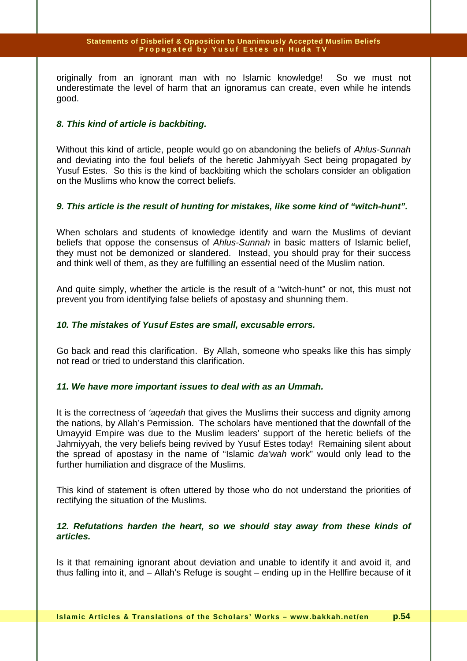originally from an ignorant man with no Islamic knowledge! So we must not underestimate the level of harm that an ignoramus can create, even while he intends good.

## **8. This kind of article is backbiting.**

Without this kind of article, people would go on abandoning the beliefs of Ahlus-Sunnah and deviating into the foul beliefs of the heretic Jahmiyyah Sect being propagated by Yusuf Estes. So this is the kind of backbiting which the scholars consider an obligation on the Muslims who know the correct beliefs.

## **9. This article is the result of hunting for mistakes, like some kind of "witch-hunt".**

When scholars and students of knowledge identify and warn the Muslims of deviant beliefs that oppose the consensus of Ahlus-Sunnah in basic matters of Islamic belief, they must not be demonized or slandered. Instead, you should pray for their success and think well of them, as they are fulfilling an essential need of the Muslim nation.

And quite simply, whether the article is the result of a "witch-hunt" or not, this must not prevent you from identifying false beliefs of apostasy and shunning them.

## **10. The mistakes of Yusuf Estes are small, excusable errors.**

Go back and read this clarification. By Allah, someone who speaks like this has simply not read or tried to understand this clarification.

## **11. We have more important issues to deal with as an Ummah.**

It is the correctness of 'ageedah that gives the Muslims their success and dignity among the nations, by Allah's Permission. The scholars have mentioned that the downfall of the Umayyid Empire was due to the Muslim leaders' support of the heretic beliefs of the Jahmiyyah, the very beliefs being revived by Yusuf Estes today! Remaining silent about the spread of apostasy in the name of "Islamic da'wah work" would only lead to the further humiliation and disgrace of the Muslims.

This kind of statement is often uttered by those who do not understand the priorities of rectifying the situation of the Muslims.

## **12. Refutations harden the heart, so we should stay away from these kinds of articles.**

Is it that remaining ignorant about deviation and unable to identify it and avoid it, and thus falling into it, and – Allah's Refuge is sought – ending up in the Hellfire because of it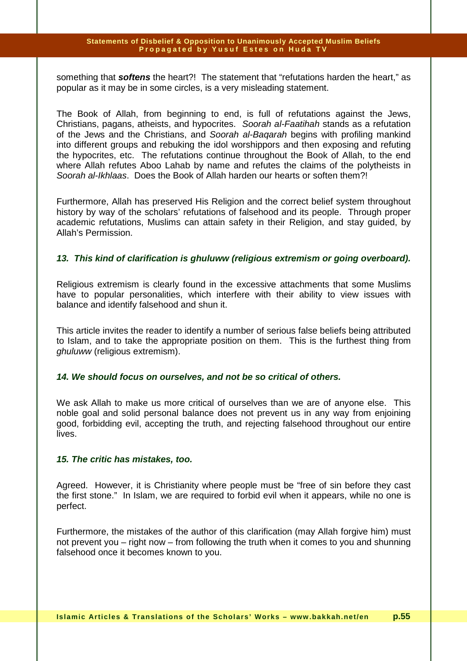something that **softens** the heart?! The statement that "refutations harden the heart," as popular as it may be in some circles, is a very misleading statement.

The Book of Allah, from beginning to end, is full of refutations against the Jews, Christians, pagans, atheists, and hypocrites. Soorah al-Faatihah stands as a refutation of the Jews and the Christians, and Soorah al-Bagarah begins with profiling mankind into different groups and rebuking the idol worshippors and then exposing and refuting the hypocrites, etc. The refutations continue throughout the Book of Allah, to the end where Allah refutes Aboo Lahab by name and refutes the claims of the polytheists in Soorah al-Ikhlaas. Does the Book of Allah harden our hearts or soften them?!

Furthermore, Allah has preserved His Religion and the correct belief system throughout history by way of the scholars' refutations of falsehood and its people. Through proper academic refutations, Muslims can attain safety in their Religion, and stay guided, by Allah's Permission.

## **13. This kind of clarification is ghuluww (religious extremism or going overboard).**

Religious extremism is clearly found in the excessive attachments that some Muslims have to popular personalities, which interfere with their ability to view issues with balance and identify falsehood and shun it.

This article invites the reader to identify a number of serious false beliefs being attributed to Islam, and to take the appropriate position on them. This is the furthest thing from ghuluww (religious extremism).

### **14. We should focus on ourselves, and not be so critical of others.**

We ask Allah to make us more critical of ourselves than we are of anyone else. This noble goal and solid personal balance does not prevent us in any way from enjoining good, forbidding evil, accepting the truth, and rejecting falsehood throughout our entire lives.

### **15. The critic has mistakes, too.**

Agreed. However, it is Christianity where people must be "free of sin before they cast the first stone." In Islam, we are required to forbid evil when it appears, while no one is perfect.

Furthermore, the mistakes of the author of this clarification (may Allah forgive him) must not prevent you – right now – from following the truth when it comes to you and shunning falsehood once it becomes known to you.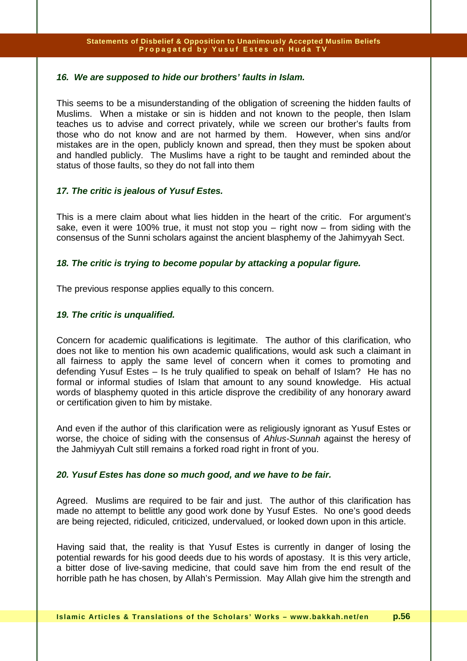## **16. We are supposed to hide our brothers' faults in Islam.**

This seems to be a misunderstanding of the obligation of screening the hidden faults of Muslims. When a mistake or sin is hidden and not known to the people, then Islam teaches us to advise and correct privately, while we screen our brother's faults from those who do not know and are not harmed by them. However, when sins and/or mistakes are in the open, publicly known and spread, then they must be spoken about and handled publicly. The Muslims have a right to be taught and reminded about the status of those faults, so they do not fall into them

## **17. The critic is jealous of Yusuf Estes.**

This is a mere claim about what lies hidden in the heart of the critic. For argument's sake, even it were 100% true, it must not stop you  $-$  right now  $-$  from siding with the consensus of the Sunni scholars against the ancient blasphemy of the Jahimyyah Sect.

## **18. The critic is trying to become popular by attacking a popular figure.**

The previous response applies equally to this concern.

## **19. The critic is unqualified.**

Concern for academic qualifications is legitimate. The author of this clarification, who does not like to mention his own academic qualifications, would ask such a claimant in all fairness to apply the same level of concern when it comes to promoting and defending Yusuf Estes – Is he truly qualified to speak on behalf of Islam? He has no formal or informal studies of Islam that amount to any sound knowledge. His actual words of blasphemy quoted in this article disprove the credibility of any honorary award or certification given to him by mistake.

And even if the author of this clarification were as religiously ignorant as Yusuf Estes or worse, the choice of siding with the consensus of Ahlus-Sunnah against the heresy of the Jahmiyyah Cult still remains a forked road right in front of you.

## **20. Yusuf Estes has done so much good, and we have to be fair.**

Agreed. Muslims are required to be fair and just. The author of this clarification has made no attempt to belittle any good work done by Yusuf Estes. No one's good deeds are being rejected, ridiculed, criticized, undervalued, or looked down upon in this article.

Having said that, the reality is that Yusuf Estes is currently in danger of losing the potential rewards for his good deeds due to his words of apostasy. It is this very article, a bitter dose of live-saving medicine, that could save him from the end result of the horrible path he has chosen, by Allah's Permission. May Allah give him the strength and